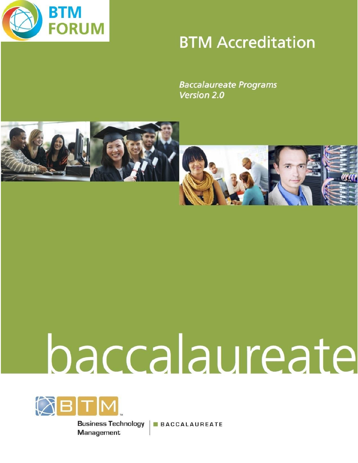

# **BTM Accreditation**

**Baccalaureate Programs** Version 2.0



# baccalaureate



**Business Technology** Management

**BACCALAUREATE**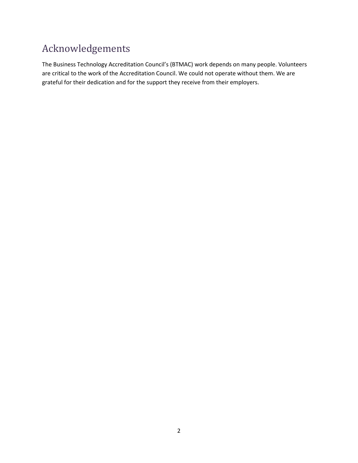# Acknowledgements

The Business Technology Accreditation Council's (BTMAC) work depends on many people. Volunteers are critical to the work of the Accreditation Council. We could not operate without them. We are grateful for their dedication and for the support they receive from their employers.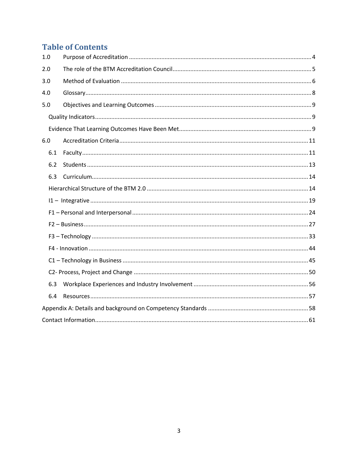# **Table of Contents**

| 1.0 |  |
|-----|--|
| 2.0 |  |
| 3.0 |  |
| 4.0 |  |
| 5.0 |  |
|     |  |
|     |  |
| 6.0 |  |
| 6.1 |  |
| 6.2 |  |
| 6.3 |  |
|     |  |
|     |  |
|     |  |
|     |  |
|     |  |
|     |  |
|     |  |
|     |  |
| 6.3 |  |
| 6.4 |  |
|     |  |
|     |  |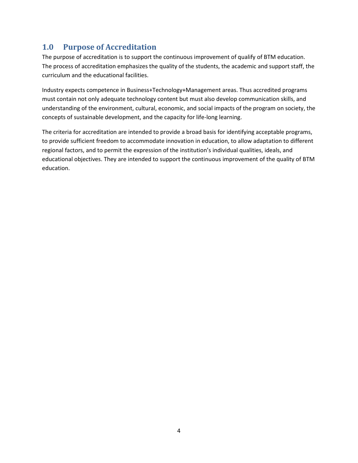# <span id="page-3-0"></span>**1.0 Purpose of Accreditation**

The purpose of accreditation is to support the continuous improvement of qualify of BTM education. The process of accreditation emphasizes the quality of the students, the academic and support staff, the curriculum and the educational facilities.

Industry expects competence in Business+Technology+Management areas. Thus accredited programs must contain not only adequate technology content but must also develop communication skills, and understanding of the environment, cultural, economic, and social impacts of the program on society, the concepts of sustainable development, and the capacity for life-long learning.

The criteria for accreditation are intended to provide a broad basis for identifying acceptable programs, to provide sufficient freedom to accommodate innovation in education, to allow adaptation to different regional factors, and to permit the expression of the institution's individual qualities, ideals, and educational objectives. They are intended to support the continuous improvement of the quality of BTM education.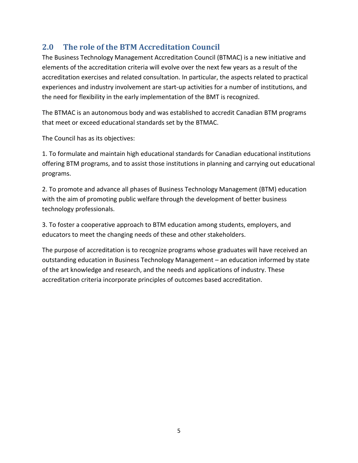# <span id="page-4-0"></span>**2.0 The role of the BTM Accreditation Council**

The Business Technology Management Accreditation Council (BTMAC) is a new initiative and elements of the accreditation criteria will evolve over the next few years as a result of the accreditation exercises and related consultation. In particular, the aspects related to practical experiences and industry involvement are start-up activities for a number of institutions, and the need for flexibility in the early implementation of the BMT is recognized.

The BTMAC is an autonomous body and was established to accredit Canadian BTM programs that meet or exceed educational standards set by the BTMAC.

The Council has as its objectives:

1. To formulate and maintain high educational standards for Canadian educational institutions offering BTM programs, and to assist those institutions in planning and carrying out educational programs.

2. To promote and advance all phases of Business Technology Management (BTM) education with the aim of promoting public welfare through the development of better business technology professionals.

3. To foster a cooperative approach to BTM education among students, employers, and educators to meet the changing needs of these and other stakeholders.

The purpose of accreditation is to recognize programs whose graduates will have received an outstanding education in Business Technology Management – an education informed by state of the art knowledge and research, and the needs and applications of industry. These accreditation criteria incorporate principles of outcomes based accreditation.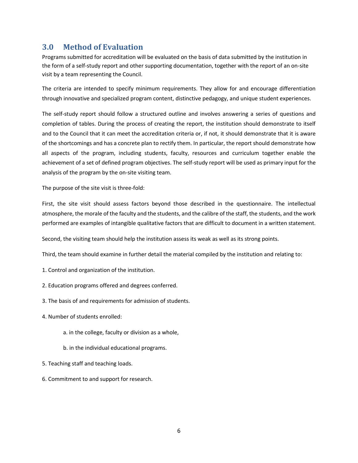# <span id="page-5-0"></span>**3.0 Method of Evaluation**

Programs submitted for accreditation will be evaluated on the basis of data submitted by the institution in the form of a self-study report and other supporting documentation, together with the report of an on-site visit by a team representing the Council.

The criteria are intended to specify minimum requirements. They allow for and encourage differentiation through innovative and specialized program content, distinctive pedagogy, and unique student experiences.

The self-study report should follow a structured outline and involves answering a series of questions and completion of tables. During the process of creating the report, the institution should demonstrate to itself and to the Council that it can meet the accreditation criteria or, if not, it should demonstrate that it is aware of the shortcomings and has a concrete plan to rectify them. In particular, the report should demonstrate how all aspects of the program, including students, faculty, resources and curriculum together enable the achievement of a set of defined program objectives. The self-study report will be used as primary input for the analysis of the program by the on-site visiting team.

The purpose of the site visit is three-fold:

First, the site visit should assess factors beyond those described in the questionnaire. The intellectual atmosphere, the morale of the faculty and the students, and the calibre of the staff, the students, and the work performed are examples of intangible qualitative factors that are difficult to document in a written statement.

Second, the visiting team should help the institution assess its weak as well as its strong points.

Third, the team should examine in further detail the material compiled by the institution and relating to:

- 1. Control and organization of the institution.
- 2. Education programs offered and degrees conferred.
- 3. The basis of and requirements for admission of students.
- 4. Number of students enrolled:
	- a. in the college, faculty or division as a whole,
	- b. in the individual educational programs.
- 5. Teaching staff and teaching loads.
- 6. Commitment to and support for research.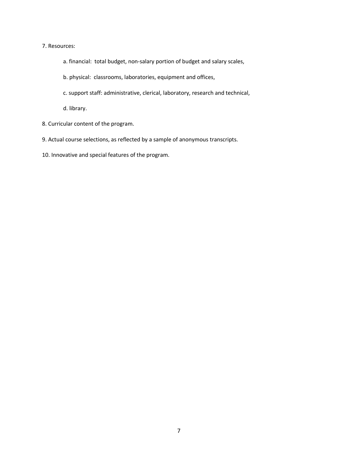### 7. Resources:

- a. financial: total budget, non-salary portion of budget and salary scales,
- b. physical: classrooms, laboratories, equipment and offices,
- c. support staff: administrative, clerical, laboratory, research and technical,

d. library.

- 8. Curricular content of the program.
- 9. Actual course selections, as reflected by a sample of anonymous transcripts.
- 10. Innovative and special features of the program.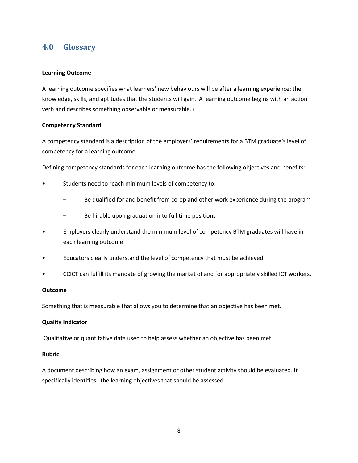# <span id="page-7-0"></span>**4.0 Glossary**

### **Learning Outcome**

A learning outcome specifies what learners' new behaviours will be after a learning experience: the knowledge, skills, and aptitudes that the students will gain. A learning outcome begins with an action verb and describes something observable or measurable. (

### **Competency Standard**

A competency standard is a description of the employers' requirements for a BTM graduate's level of competency for a learning outcome.

Defining competency standards for each learning outcome has the following objectives and benefits:

- Students need to reach minimum levels of competency to:
	- Be qualified for and benefit from co-op and other work experience during the program
	- Be hirable upon graduation into full time positions
- Employers clearly understand the minimum level of competency BTM graduates will have in each learning outcome
- Educators clearly understand the level of competency that must be achieved
- CCICT can fulfill its mandate of growing the market of and for appropriately skilled ICT workers.

### **Outcome**

Something that is measurable that allows you to determine that an objective has been met.

### **Quality Indicator**

Qualitative or quantitative data used to help assess whether an objective has been met.

### **Rubric**

A document describing how an exam, assignment or other student activity should be evaluated. It specifically identifies the learning objectives that should be assessed.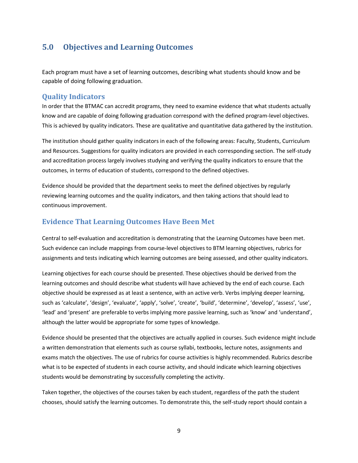# <span id="page-8-0"></span>**5.0 Objectives and Learning Outcomes**

Each program must have a set of learning outcomes, describing what students should know and be capable of doing following graduation.

### <span id="page-8-1"></span>**Quality Indicators**

In order that the BTMAC can accredit programs, they need to examine evidence that what students actually know and are capable of doing following graduation correspond with the defined program-level objectives. This is achieved by quality indicators. These are qualitative and quantitative data gathered by the institution.

The institution should gather quality indicators in each of the following areas: Faculty, Students, Curriculum and Resources. Suggestions for quality indicators are provided in each corresponding section. The self-study and accreditation process largely involves studying and verifying the quality indicators to ensure that the outcomes, in terms of education of students, correspond to the defined objectives.

Evidence should be provided that the department seeks to meet the defined objectives by regularly reviewing learning outcomes and the quality indicators, and then taking actions that should lead to continuous improvement.

### <span id="page-8-2"></span>**Evidence That Learning Outcomes Have Been Met**

Central to self-evaluation and accreditation is demonstrating that the Learning Outcomes have been met. Such evidence can include mappings from course-level objectives to BTM learning objectives, rubrics for assignments and tests indicating which learning outcomes are being assessed, and other quality indicators.

Learning objectives for each course should be presented. These objectives should be derived from the learning outcomes and should describe what students will have achieved by the end of each course. Each objective should be expressed as at least a sentence, with an active verb. Verbs implying deeper learning, such as 'calculate', 'design', 'evaluate', 'apply', 'solve', 'create', 'build', 'determine', 'develop', 'assess', 'use', 'lead' and 'present' are preferable to verbs implying more passive learning, such as 'know' and 'understand', although the latter would be appropriate for some types of knowledge.

Evidence should be presented that the objectives are actually applied in courses. Such evidence might include a written demonstration that elements such as course syllabi, textbooks, lecture notes, assignments and exams match the objectives. The use of rubrics for course activities is highly recommended. Rubrics describe what is to be expected of students in each course activity, and should indicate which learning objectives students would be demonstrating by successfully completing the activity.

Taken together, the objectives of the courses taken by each student, regardless of the path the student chooses, should satisfy the learning outcomes. To demonstrate this, the self-study report should contain a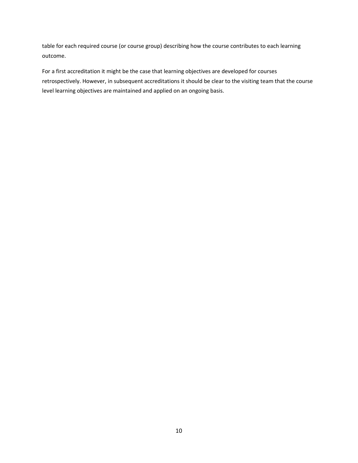table for each required course (or course group) describing how the course contributes to each learning outcome.

For a first accreditation it might be the case that learning objectives are developed for courses retrospectively. However, in subsequent accreditations it should be clear to the visiting team that the course level learning objectives are maintained and applied on an ongoing basis.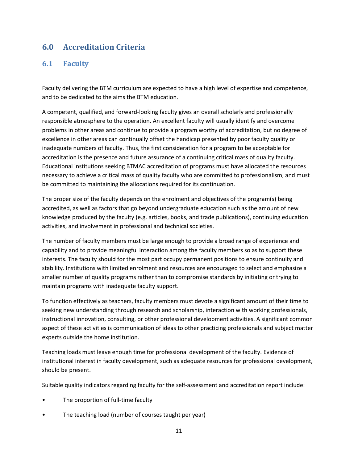# <span id="page-10-0"></span>**6.0 Accreditation Criteria**

### <span id="page-10-1"></span>**6.1 Faculty**

Faculty delivering the BTM curriculum are expected to have a high level of expertise and competence, and to be dedicated to the aims the BTM education.

A competent, qualified, and forward-looking faculty gives an overall scholarly and professionally responsible atmosphere to the operation. An excellent faculty will usually identify and overcome problems in other areas and continue to provide a program worthy of accreditation, but no degree of excellence in other areas can continually offset the handicap presented by poor faculty quality or inadequate numbers of faculty. Thus, the first consideration for a program to be acceptable for accreditation is the presence and future assurance of a continuing critical mass of quality faculty. Educational institutions seeking BTMAC accreditation of programs must have allocated the resources necessary to achieve a critical mass of quality faculty who are committed to professionalism, and must be committed to maintaining the allocations required for its continuation.

The proper size of the faculty depends on the enrolment and objectives of the program(s) being accredited, as well as factors that go beyond undergraduate education such as the amount of new knowledge produced by the faculty (e.g. articles, books, and trade publications), continuing education activities, and involvement in professional and technical societies.

The number of faculty members must be large enough to provide a broad range of experience and capability and to provide meaningful interaction among the faculty members so as to support these interests. The faculty should for the most part occupy permanent positions to ensure continuity and stability. Institutions with limited enrolment and resources are encouraged to select and emphasize a smaller number of quality programs rather than to compromise standards by initiating or trying to maintain programs with inadequate faculty support.

To function effectively as teachers, faculty members must devote a significant amount of their time to seeking new understanding through research and scholarship, interaction with working professionals, instructional innovation, consulting, or other professional development activities. A significant common aspect of these activities is communication of ideas to other practicing professionals and subject matter experts outside the home institution.

Teaching loads must leave enough time for professional development of the faculty. Evidence of institutional interest in faculty development, such as adequate resources for professional development, should be present.

Suitable quality indicators regarding faculty for the self-assessment and accreditation report include:

- The proportion of full-time faculty
- The teaching load (number of courses taught per year)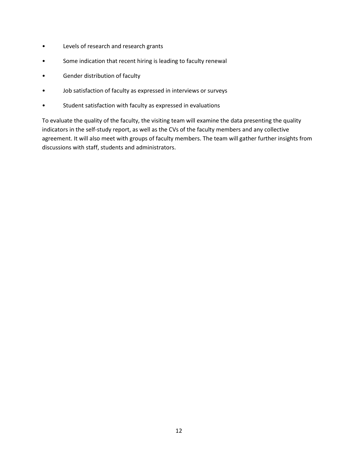- Levels of research and research grants
- Some indication that recent hiring is leading to faculty renewal
- Gender distribution of faculty
- Job satisfaction of faculty as expressed in interviews or surveys
- Student satisfaction with faculty as expressed in evaluations

To evaluate the quality of the faculty, the visiting team will examine the data presenting the quality indicators in the self-study report, as well as the CVs of the faculty members and any collective agreement. It will also meet with groups of faculty members. The team will gather further insights from discussions with staff, students and administrators.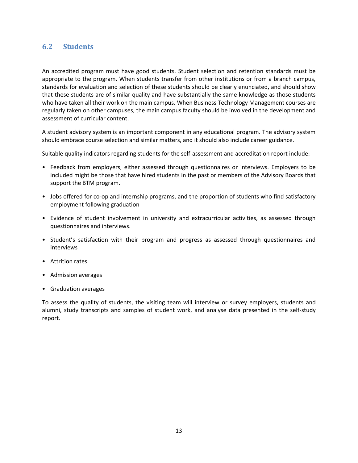### <span id="page-12-0"></span>**6.2 Students**

An accredited program must have good students. Student selection and retention standards must be appropriate to the program. When students transfer from other institutions or from a branch campus, standards for evaluation and selection of these students should be clearly enunciated, and should show that these students are of similar quality and have substantially the same knowledge as those students who have taken all their work on the main campus. When Business Technology Management courses are regularly taken on other campuses, the main campus faculty should be involved in the development and assessment of curricular content.

A student advisory system is an important component in any educational program. The advisory system should embrace course selection and similar matters, and it should also include career guidance.

Suitable quality indicators regarding students for the self-assessment and accreditation report include:

- Feedback from employers, either assessed through questionnaires or interviews. Employers to be included might be those that have hired students in the past or members of the Advisory Boards that support the BTM program.
- Jobs offered for co-op and internship programs, and the proportion of students who find satisfactory employment following graduation
- Evidence of student involvement in university and extracurricular activities, as assessed through questionnaires and interviews.
- Student's satisfaction with their program and progress as assessed through questionnaires and interviews
- Attrition rates
- Admission averages
- Graduation averages

To assess the quality of students, the visiting team will interview or survey employers, students and alumni, study transcripts and samples of student work, and analyse data presented in the self-study report.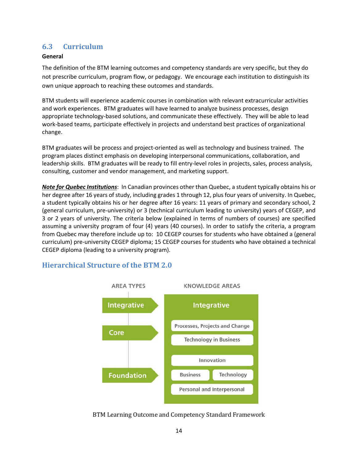# <span id="page-13-0"></span>**6.3 Curriculum**

### **General**

The definition of the BTM learning outcomes and competency standards are very specific, but they do not prescribe curriculum, program flow, or pedagogy. We encourage each institution to distinguish its own unique approach to reaching these outcomes and standards.

BTM students will experience academic courses in combination with relevant extracurricular activities and work experiences. BTM graduates will have learned to analyze business processes, design appropriate technology-based solutions, and communicate these effectively. They will be able to lead work-based teams, participate effectively in projects and understand best practices of organizational change.

BTM graduates will be process and project-oriented as well as technology and business trained. The program places distinct emphasis on developing interpersonal communications, collaboration, and leadership skills. BTM graduates will be ready to fill entry-level roles in projects, sales, process analysis, consulting, customer and vendor management, and marketing support.

*Note for Quebec Institutions*: In Canadian provinces other than Quebec, a student typically obtains his or her degree after 16 years of study, including grades 1 through 12, plus four years of university. In Quebec, a student typically obtains his or her degree after 16 years: 11 years of primary and secondary school, 2 (general curriculum, pre-university) or 3 (technical curriculum leading to university) years of CEGEP, and 3 or 2 years of university. The criteria below (explained in terms of numbers of courses) are specified assuming a university program of four (4) years (40 courses). In order to satisfy the criteria, a program from Quebec may therefore include up to: 10 CEGEP courses for students who have obtained a (general curriculum) pre-university CEGEP diploma; 15 CEGEP courses for students who have obtained a technical CEGEP diploma (leading to a university program).

### <span id="page-13-1"></span>**Hierarchical Structure of the BTM 2.0**



BTM Learning Outcome and Competency Standard Framework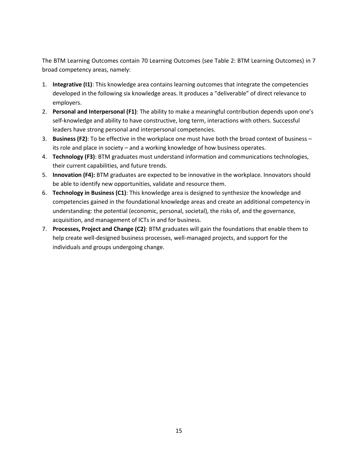The BTM Learning Outcomes contain 70 Learning Outcomes (see Table 2: BTM Learning Outcomes) in 7 broad competency areas, namely:

- 1. **Integrative (I1)**: This knowledge area contains learning outcomes that integrate the competencies developed in the following six knowledge areas. It produces a "deliverable" of direct relevance to employers.
- 2. **Personal and Interpersonal (F1)**: The ability to make a meaningful contribution depends upon one's self-knowledge and ability to have constructive, long term, interactions with others. Successful leaders have strong personal and interpersonal competencies.
- 3. **Business (F2)**: To be effective in the workplace one must have both the broad context of business its role and place in society – and a working knowledge of how business operates.
- 4. **Technology (F3)**: BTM graduates must understand information and communications technologies, their current capabilities, and future trends.
- 5. **Innovation (F4):** BTM graduates are expected to be innovative in the workplace. Innovators should be able to identify new opportunities, validate and resource them.
- 6. **Technology in Business (C1)**: This knowledge area is designed to synthesize the knowledge and competencies gained in the foundational knowledge areas and create an additional competency in understanding: the potential (economic, personal, societal), the risks of, and the governance, acquisition, and management of ICTs in and for business.
- 7. **Processes, Project and Change (C2)**: BTM graduates will gain the foundations that enable them to help create well-designed business processes, well-managed projects, and support for the individuals and groups undergoing change.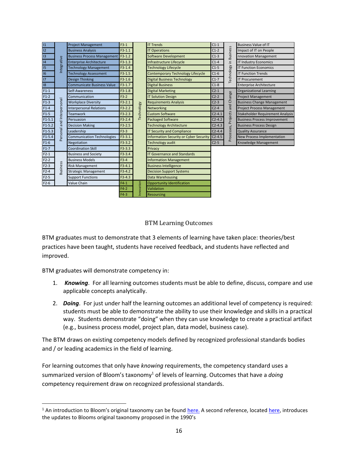| 11           |                   | <b>Project Management</b>          | $F3-1$   |                   | <b>IT Trends</b>                              | $C1-1$     |                        | <b>Business Value of IT</b>         |
|--------------|-------------------|------------------------------------|----------|-------------------|-----------------------------------------------|------------|------------------------|-------------------------------------|
| $ 12\rangle$ |                   | <b>Business Analysis</b>           | $F3-1.1$ |                   | <b>IT Operations</b>                          | $C1-2$     |                        | Impact of IT on People              |
| 13           |                   | Business Process Management F3-1.2 |          |                   | <b>Software Development</b>                   | $C1-3$     |                        | nnovation Management                |
| 14           |                   | <b>Enterprise Architecture</b>     | $F3-1.3$ |                   | Infrastructure Lifecycle                      | $C1-4$     |                        | <b>IT Industry Economics</b>        |
| 15           | ntegrative        | <b>Technology Management</b>       | $F3-1.4$ |                   | <b>Technology Lifecycle</b>                   | $C1-5$     |                        | <b>IT Function Economics</b>        |
| 16           |                   | Technology Assessment              | $F3-1.5$ |                   | <b>Contemporary Technology Lifecycle</b>      | $C1-6$     | Technology in Business | <b>IT Function Trends</b>           |
| <b>II7</b>   |                   | <b>Design Thinking</b>             | $F3-1.6$ |                   | <b>Digital Business Technology</b>            | $C1-7$     |                        | <b>IT Procurement</b>               |
| 18           |                   | <b>Communicate Business Value</b>  | F3-1.7   |                   | <b>Digital Business</b>                       | $C1-8$     |                        | <b>Enterprise Architecture</b>      |
| $F1-1$       |                   | Self-Awareness                     | $F3-1.8$ |                   | <b>Digital Marketing</b>                      | $C2-1$     |                        | <b>Organizational Learning</b>      |
| $F1-2$       |                   | Communication                      | $F3-2$   |                   | <b>IT Solution Design</b>                     | $C2-2$     | Change                 | <b>Project Management</b>           |
| $F1-3$       | and Interpersonal | <b>Workplace Diversity</b>         | $F3-2.1$ |                   | <b>Requirements Analysis</b>                  | $C2-3$     |                        | <b>Business Change Management</b>   |
| $F1-4$       |                   | <b>Interpersonal Relations</b>     | $F3-2.2$ | <b>Technology</b> | Networking                                    | $C2-4$     | and                    | <b>Project Process Management</b>   |
| $F1-5$       |                   | <b>Teamwork</b>                    | $F3-2.3$ |                   | <b>Custom Software</b>                        | $C2 - 4.1$ | Projects               | Stakeholder Requirement Analysis    |
| $F1-5.1$     |                   | Persuasion                         | $F3-2.4$ |                   | <b>Packaged Software</b>                      | $C2 - 4.2$ |                        | <b>Business Process Improvement</b> |
| $F1-5.2$     |                   | <b>Decision Making</b>             | $F3-2.5$ |                   | <b>Technology Architecture</b>                | $C2 - 4.3$ |                        | <b>Business Process Design</b>      |
| $F1-5.3$     |                   | Leadership                         | $F3-3$   |                   | <b>IT Security and Compliance</b>             | $C2 - 4.4$ |                        | <b>Quality Assurance</b>            |
| $F1 - 5.4$   | Personal          | <b>Communication Technologies</b>  | F3-3.1.  |                   | <b>Information Security or Cyber Security</b> | $C2-4.5$   | Processes,             | <b>New Process Implementation</b>   |
| $F1-6$       |                   | Negotiation                        | $F3-3.2$ |                   | Technology audit                              | $C2-5$     |                        | Knowledge Management                |
| $F1-7$       |                   | <b>Coordination Skill</b>          | $F3-3.3$ |                   | Privacy                                       |            |                        |                                     |
| $F2-1$       |                   | <b>Business and Society</b>        | $F3-3.4$ |                   | <b>IT Governance and Standards</b>            |            |                        |                                     |
| $F2-2$       |                   | <b>Business Models</b>             | $F3-4$   |                   | <b>Information Management</b>                 |            |                        |                                     |
| $F2-3$       | <b>Business</b>   | <b>Risk Management</b>             | $F3-4.1$ |                   | <b>Business Intelligence</b>                  |            |                        |                                     |
| $F2-4$       |                   | <b>Strategic Management</b>        | $F3-4.2$ |                   | <b>Decision Support Systems</b>               |            |                        |                                     |
| $F2-5$       |                   | <b>Support Functions</b>           | $F3-4.3$ |                   | Data Warehousing                              |            |                        |                                     |
| $F2-6$       |                   | Value Chain                        | $F4-1$   |                   | Opportunity Identification                    |            |                        |                                     |
|              |                   |                                    | $F4-2$   | Innovation        | Validation                                    |            |                        |                                     |
|              |                   |                                    | $F4-3$   |                   | <b>Resourcing</b>                             |            |                        |                                     |

### BTM Learning Outcomes

BTM graduates must to demonstrate that 3 elements of learning have taken place: theories/best practices have been taught, students have received feedback, and students have reflected and improved.

BTM graduates will demonstrate competency in:

- 1. *Knowing*. For all learning outcomes students must be able to define, discuss, compare and use applicable concepts analytically.
- 2. *Doing*. For just under half the learning outcomes an additional level of competency is required: students must be able to demonstrate the ability to use their knowledge and skills in a practical way. Students demonstrate "doing" when they can use knowledge to create a practical artifact (e.g., business process model, project plan, data model, business case).

The BTM draws on existing competency models defined by recognized professional standards bodies and / or leading academics in the field of learning.

For learning outcomes that only have *knowing* requirements, the competency standard uses a summarized version of Bloom's taxonomy<sup>1</sup> of levels of learning. Outcomes that have a *doing* competency requirement draw on recognized professional standards.

<sup>&</sup>lt;sup>1</sup> An introduction to Bloom's original taxonomy can be found [here.](http://en.wikipedia.org/wiki/Taxonomy_of_Educational_Objectives) A second reference, located [here,](http://projects.coe.uga.edu/epltt/index.php?title=Bloom%27s_Taxonomy) introduces the updates to Blooms original taxonomy proposed in the 1990's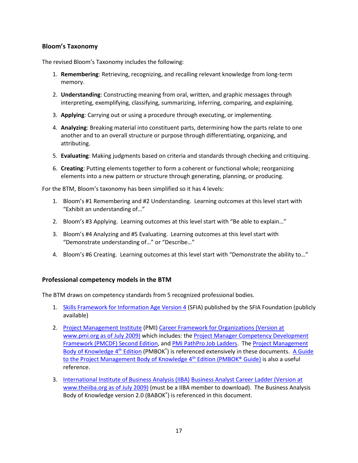### **Bloom's Taxonomy**

The revised Bloom's Taxonomy includes the following:

- 1. **Remembering**: Retrieving, recognizing, and recalling relevant knowledge from long-term memory.
- 2. **Understanding**: Constructing meaning from oral, written, and graphic messages through interpreting, exemplifying, classifying, summarizing, inferring, comparing, and explaining.
- 3. **Applying**: Carrying out or using a procedure through executing, or implementing.
- 4. **Analyzing**: Breaking material into constituent parts, determining how the parts relate to one another and to an overall structure or purpose through differentiating, organizing, and attributing.
- 5. **Evaluating**: Making judgments based on criteria and standards through checking and critiquing.
- 6. **Creating**: Putting elements together to form a coherent or functional whole; reorganizing elements into a new pattern or structure through generating, planning, or producing.

For the BTM, Bloom's taxonomy has been simplified so it has 4 levels:

- 1. Bloom's #1 Remembering and #2 Understanding. Learning outcomes at this level start with "Exhibit an understanding of…"
- 2. Bloom's #3 Applying. Learning outcomes at this level start with "Be able to explain…"
- 3. Bloom's #4 Analyzing and #5 Evaluating. Learning outcomes at this level start with "Demonstrate understanding of…" or "Describe…"
- 4. Bloom's #6 Creating. Learning outcomes at this level start with "Demonstrate the ability to…"

### **Professional competency models in the BTM**

The BTM draws on competency standards from 5 recognized professional bodies.

- 1. [Skills Framework for Information Age Version 4](http://www.sfia.org.uk/) (SFIA) published by the SFIA Foundation (publicly available)
- 2. [Project Management Institute](http://www.pmi.org/) (PMI) Career Framework for Organizations (Version at www.pmi.org as of July 2009) which includes: th[e Project Manager Competency Development](http://www.pmi.org/Marketplace/Pages/ProductDetail.aspx?GMProduct=00101024401)  [Framework \(PMCDF\) Second Edition,](http://www.pmi.org/Marketplace/Pages/ProductDetail.aspx?GMProduct=00101024401) an[d PMI PathPro Job Ladders.](https://pathpro.pmi.org/) Th[e Project Management](http://www.pmi.org/GetInvolved/Pages/PMBOK-Guide-Digital-Edition.aspx)  [Body of Knowledge 4](http://www.pmi.org/GetInvolved/Pages/PMBOK-Guide-Digital-Edition.aspx)<sup>th</sup> Edition</u> (PMBOK<sup>®</sup>) is referenced extensively in these documents. A Guide [to the Project Management Body of Knowledge 4](http://www.pmi.org/Marketplace/Pages/ProductDetail.aspx?GMProduct=00101095501)<sup>th</sup> Edition (PMBOK® Guide) is also a useful reference.
- 3. [International Institute of Business Analysis \(IIBA\)](http://www.theiiba.org/) [Business Analyst Career Ladder \(Version at](http://www.theiiba.org/AM/Template.cfm?Section=Roles&Template=/CM/HTMLDisplay.cfm&ContentID=4204)  [www.theiiba.org as of July 2009\)](http://www.theiiba.org/AM/Template.cfm?Section=Roles&Template=/CM/HTMLDisplay.cfm&ContentID=4204) (must be a IIBA member to download). The Business Analysis Body of Knowledge version 2.0 (BABOK®) is referenced in this document.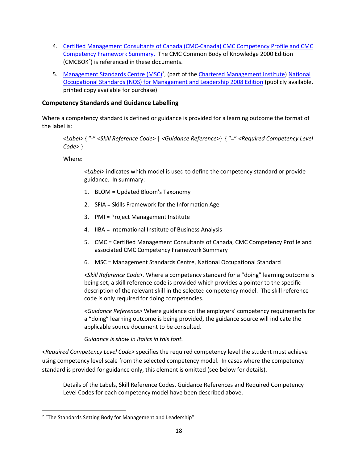- 4. [Certified Management Consultants of Canada \(CMC-Canada\)](http://www.cmc-canada.ca/CMC_Designation/CMCBodyofKnowledge.cfm?group=Body%20of%20Knowledge%20and%20Competency%20Profile) [CMC Competency Profile and CMC](http://www.cmc-canada.ca/CMC_Designation/CMCBodyofKnowledge.cfm?group=Body%20of%20Knowledge%20and%20Competency%20Profile)  [Competency Framework Summary.](http://www.cmc-canada.ca/CMC_Designation/CMCBodyofKnowledge.cfm?group=Body%20of%20Knowledge%20and%20Competency%20Profile) The CMC Common Body of Knowledge 2000 Edition (CMCBOK® ) is referenced in these documents.
- 5. [Management Standards Centre \(MSC\)](http://www.management-standards.org/)<sup>2</sup>, (part of the Chartered [Management Institute\)](http://www.managers.org.uk/) National [Occupational Standards \(NOS\) for Management and Leadership 2008 Edition](http://www.management-standards.org/content_1.aspx?id=10:5406&id=10:1917) (publicly available, printed copy available for purchase)

### **Competency Standards and Guidance Labelling**

Where a competency standard is defined or guidance is provided for a learning outcome the format of the label is:

*<Label>* { "-" *<Skill Reference Code>* | *<Guidance Reference>*} { "=" *<Required Competency Level Code>* }

Where:

*<Label>* indicates which model is used to define the competency standard or provide guidance. In summary:

- 1. BLOM = Updated Bloom's Taxonomy
- 2. SFIA = Skills Framework for the Information Age
- 3. PMI = Project Management Institute
- 4. IIBA = International Institute of Business Analysis
- 5. CMC = Certified Management Consultants of Canada, CMC Competency Profile and associated CMC Competency Framework Summary
- 6. MSC = Management Standards Centre, National Occupational Standard

*<Skill Reference Code>.* Where a competency standard for a "doing" learning outcome is being set, a skill reference code is provided which provides a pointer to the specific description of the relevant skill in the selected competency model. The skill reference code is only required for doing competencies.

*<Guidance Reference>* Where guidance on the employers' competency requirements for a "doing" learning outcome is being provided, the guidance source will indicate the applicable source document to be consulted.

### *Guidance is show in italics in this font.*

*<Required Competency Level Code>* specifies the required competency level the student must achieve using competency level scale from the selected competency model. In cases where the competency standard is provided for guidance only, this element is omitted (see below for details).

Details of the Labels, Skill Reference Codes, Guidance References and Required Competency Level Codes for each competency model have been described above.

<sup>&</sup>lt;sup>2</sup> "The Standards Setting Body for Management and Leadership"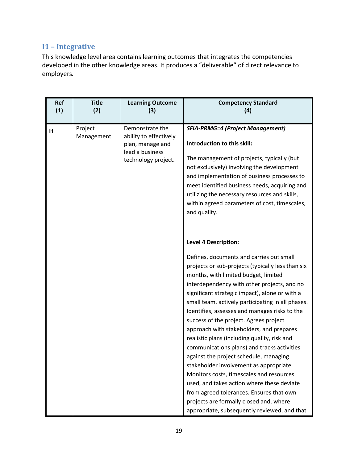# <span id="page-18-0"></span>**I1 – Integrative**

This knowledge level area contains learning outcomes that integrates the competencies developed in the other knowledge areas. It produces a "deliverable" of direct relevance to employers.

| <b>Title</b><br>(2) | <b>Learning Outcome</b><br>(3) | <b>Competency Standard</b><br>(4)                                                                  |
|---------------------|--------------------------------|----------------------------------------------------------------------------------------------------|
|                     |                                |                                                                                                    |
| Project             | Demonstrate the                | <b>SFIA-PRMG=4 (Project Management)</b>                                                            |
|                     | plan, manage and               | Introduction to this skill:                                                                        |
|                     | technology project.            | The management of projects, typically (but                                                         |
|                     |                                | not exclusively) involving the development                                                         |
|                     |                                | and implementation of business processes to                                                        |
|                     |                                | meet identified business needs, acquiring and<br>utilizing the necessary resources and skills,     |
|                     |                                | within agreed parameters of cost, timescales,                                                      |
|                     |                                | and quality.                                                                                       |
|                     |                                |                                                                                                    |
|                     |                                |                                                                                                    |
|                     |                                | <b>Level 4 Description:</b>                                                                        |
|                     |                                | Defines, documents and carries out small                                                           |
|                     |                                | projects or sub-projects (typically less than six                                                  |
|                     |                                | months, with limited budget, limited                                                               |
|                     |                                | interdependency with other projects, and no                                                        |
|                     |                                | significant strategic impact), alone or with a                                                     |
|                     |                                | small team, actively participating in all phases.<br>Identifies, assesses and manages risks to the |
|                     |                                | success of the project. Agrees project                                                             |
|                     |                                | approach with stakeholders, and prepares                                                           |
|                     |                                | realistic plans (including quality, risk and                                                       |
|                     |                                | communications plans) and tracks activities                                                        |
|                     |                                | against the project schedule, managing                                                             |
|                     |                                | stakeholder involvement as appropriate.                                                            |
|                     |                                | Monitors costs, timescales and resources                                                           |
|                     |                                | used, and takes action where these deviate                                                         |
|                     |                                | from agreed tolerances. Ensures that own<br>projects are formally closed and, where                |
|                     |                                | appropriate, subsequently reviewed, and that                                                       |
|                     | Management                     | ability to effectively<br>lead a business                                                          |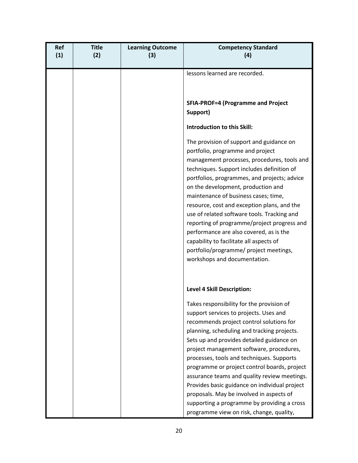| <b>Ref</b><br>(1) | <b>Title</b><br>(2) | <b>Learning Outcome</b><br>(3) | <b>Competency Standard</b><br>(4)                                                                                                                                                                                                                                                                                                                                                                                                                                                                                                                                                                                    |
|-------------------|---------------------|--------------------------------|----------------------------------------------------------------------------------------------------------------------------------------------------------------------------------------------------------------------------------------------------------------------------------------------------------------------------------------------------------------------------------------------------------------------------------------------------------------------------------------------------------------------------------------------------------------------------------------------------------------------|
|                   |                     |                                | lessons learned are recorded.                                                                                                                                                                                                                                                                                                                                                                                                                                                                                                                                                                                        |
|                   |                     |                                | <b>SFIA-PROF=4 (Programme and Project</b><br>Support)                                                                                                                                                                                                                                                                                                                                                                                                                                                                                                                                                                |
|                   |                     |                                | <b>Introduction to this Skill:</b>                                                                                                                                                                                                                                                                                                                                                                                                                                                                                                                                                                                   |
|                   |                     |                                | The provision of support and guidance on<br>portfolio, programme and project<br>management processes, procedures, tools and<br>techniques. Support includes definition of<br>portfolios, programmes, and projects; advice<br>on the development, production and<br>maintenance of business cases; time,<br>resource, cost and exception plans, and the<br>use of related software tools. Tracking and<br>reporting of programme/project progress and<br>performance are also covered, as is the<br>capability to facilitate all aspects of<br>portfolio/programme/ project meetings,<br>workshops and documentation. |
|                   |                     |                                | <b>Level 4 Skill Description:</b>                                                                                                                                                                                                                                                                                                                                                                                                                                                                                                                                                                                    |
|                   |                     |                                | Takes responsibility for the provision of<br>support services to projects. Uses and<br>recommends project control solutions for<br>planning, scheduling and tracking projects.<br>Sets up and provides detailed guidance on<br>project management software, procedures,<br>processes, tools and techniques. Supports<br>programme or project control boards, project<br>assurance teams and quality review meetings.<br>Provides basic guidance on individual project<br>proposals. May be involved in aspects of<br>supporting a programme by providing a cross                                                     |
|                   |                     |                                | programme view on risk, change, quality,                                                                                                                                                                                                                                                                                                                                                                                                                                                                                                                                                                             |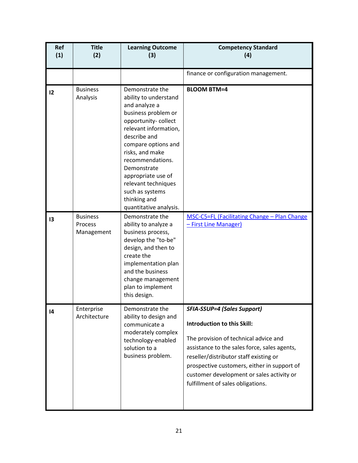| Ref<br>(1)      | <b>Title</b><br>(2)                      | <b>Learning Outcome</b><br>(3)                                                                                                                                                                                                                                                                                                          | <b>Competency Standard</b><br>(4)                                                                                                                                                                                                                                                                                                            |
|-----------------|------------------------------------------|-----------------------------------------------------------------------------------------------------------------------------------------------------------------------------------------------------------------------------------------------------------------------------------------------------------------------------------------|----------------------------------------------------------------------------------------------------------------------------------------------------------------------------------------------------------------------------------------------------------------------------------------------------------------------------------------------|
|                 |                                          |                                                                                                                                                                                                                                                                                                                                         | finance or configuration management.                                                                                                                                                                                                                                                                                                         |
| 12              | <b>Business</b><br>Analysis              | Demonstrate the<br>ability to understand<br>and analyze a<br>business problem or<br>opportunity-collect<br>relevant information,<br>describe and<br>compare options and<br>risks, and make<br>recommendations.<br>Demonstrate<br>appropriate use of<br>relevant techniques<br>such as systems<br>thinking and<br>quantitative analysis. | <b>BLOOM BTM=4</b>                                                                                                                                                                                                                                                                                                                           |
| 13              | <b>Business</b><br>Process<br>Management | Demonstrate the<br>ability to analyze a<br>business process,<br>develop the "to-be"<br>design, and then to<br>create the<br>implementation plan<br>and the business<br>change management<br>plan to implement<br>this design.                                                                                                           | MSC-C5=FL (Facilitating Change - Plan Change<br>- First Line Manager)                                                                                                                                                                                                                                                                        |
| $\overline{14}$ | Enterprise<br>Architecture               | Demonstrate the<br>ability to design and<br>communicate a<br>moderately complex<br>technology-enabled<br>solution to a<br>business problem.                                                                                                                                                                                             | <b>SFIA-SSUP=4 (Sales Support)</b><br><b>Introduction to this Skill:</b><br>The provision of technical advice and<br>assistance to the sales force, sales agents,<br>reseller/distributor staff existing or<br>prospective customers, either in support of<br>customer development or sales activity or<br>fulfillment of sales obligations. |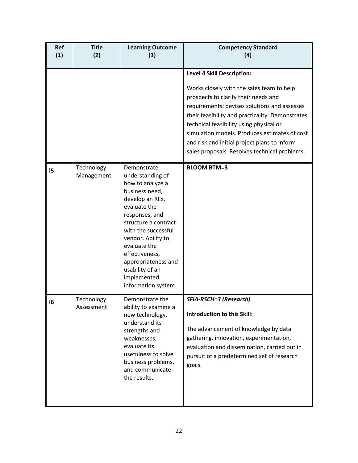| <b>Ref</b><br>(1) | <b>Title</b><br>(2)      | <b>Learning Outcome</b><br>(3)                                                                                                                                                                                                                                                                                   | <b>Competency Standard</b><br>(4)                                                                                                                                                                                                                                                                                                                                                                                       |
|-------------------|--------------------------|------------------------------------------------------------------------------------------------------------------------------------------------------------------------------------------------------------------------------------------------------------------------------------------------------------------|-------------------------------------------------------------------------------------------------------------------------------------------------------------------------------------------------------------------------------------------------------------------------------------------------------------------------------------------------------------------------------------------------------------------------|
|                   |                          |                                                                                                                                                                                                                                                                                                                  | <b>Level 4 Skill Description:</b><br>Works closely with the sales team to help<br>prospects to clarify their needs and<br>requirements; devises solutions and assesses<br>their feasibility and practicality. Demonstrates<br>technical feasibility using physical or<br>simulation models. Produces estimates of cost<br>and risk and initial project plans to inform<br>sales proposals. Resolves technical problems. |
| 15                | Technology<br>Management | Demonstrate<br>understanding of<br>how to analyze a<br>business need,<br>develop an RFx,<br>evaluate the<br>responses, and<br>structure a contract<br>with the successful<br>vendor. Ability to<br>evaluate the<br>effectiveness,<br>appropriateness and<br>usability of an<br>implemented<br>information system | <b>BLOOM BTM=3</b>                                                                                                                                                                                                                                                                                                                                                                                                      |
| 16                | Technology<br>Assessment | Demonstrate the<br>ability to examine a<br>new technology,<br>understand its<br>strengths and<br>weaknesses,<br>evaluate its<br>usefulness to solve<br>business problems,<br>and communicate<br>the results.                                                                                                     | <b>SFIA-RSCH=3 (Research)</b><br><b>Introduction to this Skill:</b><br>The advancement of knowledge by data<br>gathering, innovation, experimentation,<br>evaluation and dissemination, carried out in<br>pursuit of a predetermined set of research<br>goals.                                                                                                                                                          |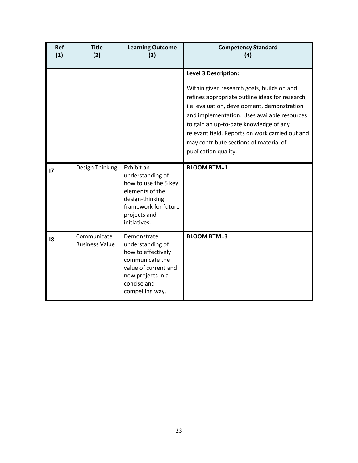| <b>Ref</b><br>(1) | <b>Title</b><br>(2)                  | <b>Learning Outcome</b><br>(3)                                                                                                                          | <b>Competency Standard</b><br>(4)                                                                                                                                                                                                                                                                                                                                                          |
|-------------------|--------------------------------------|---------------------------------------------------------------------------------------------------------------------------------------------------------|--------------------------------------------------------------------------------------------------------------------------------------------------------------------------------------------------------------------------------------------------------------------------------------------------------------------------------------------------------------------------------------------|
|                   |                                      |                                                                                                                                                         | <b>Level 3 Description:</b><br>Within given research goals, builds on and<br>refines appropriate outline ideas for research,<br>i.e. evaluation, development, demonstration<br>and implementation. Uses available resources<br>to gain an up-to-date knowledge of any<br>relevant field. Reports on work carried out and<br>may contribute sections of material of<br>publication quality. |
| 17                | Design Thinking                      | Exhibit an<br>understanding of<br>how to use the 5 key<br>elements of the<br>design-thinking<br>framework for future<br>projects and<br>initiatives.    | <b>BLOOM BTM=1</b>                                                                                                                                                                                                                                                                                                                                                                         |
| 18                | Communicate<br><b>Business Value</b> | Demonstrate<br>understanding of<br>how to effectively<br>communicate the<br>value of current and<br>new projects in a<br>concise and<br>compelling way. | <b>BLOOM BTM=3</b>                                                                                                                                                                                                                                                                                                                                                                         |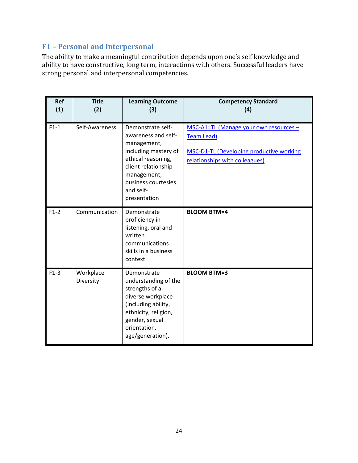# <span id="page-23-0"></span>**F1 – Personal and Interpersonal**

The ability to make a meaningful contribution depends upon one's self knowledge and ability to have constructive, long term, interactions with others. Successful leaders have strong personal and interpersonal competencies.

| Ref<br>(1) | <b>Title</b><br>(2)    | <b>Learning Outcome</b><br>(3)                                                                                                                                                                  | <b>Competency Standard</b><br>(4)                                                                                                                |
|------------|------------------------|-------------------------------------------------------------------------------------------------------------------------------------------------------------------------------------------------|--------------------------------------------------------------------------------------------------------------------------------------------------|
| $F1-1$     | Self-Awareness         | Demonstrate self-<br>awareness and self-<br>management,<br>including mastery of<br>ethical reasoning,<br>client relationship<br>management,<br>business courtesies<br>and self-<br>presentation | MSC-A1=TL (Manage your own resources -<br><b>Team Lead)</b><br><b>MSC-D1-TL (Developing productive working</b><br>relationships with colleagues) |
| $F1-2$     | Communication          | Demonstrate<br>proficiency in<br>listening, oral and<br>written<br>communications<br>skills in a business<br>context                                                                            | <b>BLOOM BTM=4</b>                                                                                                                               |
| $F1-3$     | Workplace<br>Diversity | Demonstrate<br>understanding of the<br>strengths of a<br>diverse workplace<br>(including ability,<br>ethnicity, religion,<br>gender, sexual<br>orientation,<br>age/generation).                 | <b>BLOOM BTM=3</b>                                                                                                                               |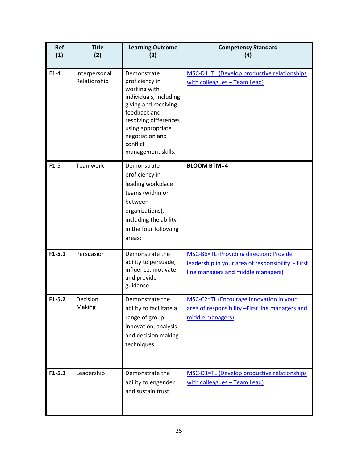| Ref<br>(1) | <b>Title</b><br>(2)           | <b>Learning Outcome</b><br>(3)                                                                                                                                                                                     | <b>Competency Standard</b><br>(4)                                                                                                  |
|------------|-------------------------------|--------------------------------------------------------------------------------------------------------------------------------------------------------------------------------------------------------------------|------------------------------------------------------------------------------------------------------------------------------------|
| $F1-4$     | Interpersonal<br>Relationship | Demonstrate<br>proficiency in<br>working with<br>individuals, including<br>giving and receiving<br>feedback and<br>resolving differences<br>using appropriate<br>negotiation and<br>conflict<br>management skills. | <b>MSC-D1=TL (Develop productive relationships</b><br>with colleagues - Team Lead)                                                 |
| $F1-5$     | Teamwork                      | Demonstrate<br>proficiency in<br>leading workplace<br>teams (within or<br>between<br>organizations),<br>including the ability<br>in the four following<br>areas:                                                   | <b>BLOOM BTM=4</b>                                                                                                                 |
| $F1 - 5.1$ | Persuasion                    | Demonstrate the<br>ability to persuade,<br>influence, motivate<br>and provide<br>guidance                                                                                                                          | MSC-B6=TL (Providing direction; Provide<br>leadership in your area of responsibility - First<br>line managers and middle managers) |
| $F1-5.2$   | Decision<br>Making            | Demonstrate the<br>ability to facilitate a<br>range of group<br>innovation, analysis<br>and decision making<br>techniques                                                                                          | <b>MSC-C2=TL (Encourage innovation in your</b><br>area of responsibility - First line managers and<br>middle managers)             |
| $F1-5.3$   | Leadership                    | Demonstrate the<br>ability to engender<br>and sustain trust                                                                                                                                                        | MSC-D1=TL (Develop productive relationships<br>with colleagues - Team Lead)                                                        |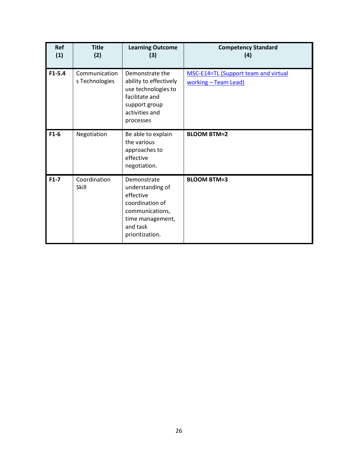| <b>Ref</b><br>(1) | <b>Title</b><br>(2)             | <b>Learning Outcome</b><br>(3)                                                                                                        | <b>Competency Standard</b><br>(4)                            |
|-------------------|---------------------------------|---------------------------------------------------------------------------------------------------------------------------------------|--------------------------------------------------------------|
| $F1 - 5.4$        | Communication<br>s Technologies | Demonstrate the<br>ability to effectively<br>use technologies to<br>facilitate and<br>support group<br>activities and<br>processes    | MSC-E14=TL (Support team and virtual<br>working - Team Lead) |
| $F1-6$            | Negotiation                     | Be able to explain<br>the various<br>approaches to<br>effective<br>negotiation.                                                       | <b>BLOOM BTM=2</b>                                           |
| $F1-7$            | Coordination<br>Skill           | Demonstrate<br>understanding of<br>effective<br>coordination of<br>communications,<br>time management,<br>and task<br>prioritization. | <b>BLOOM BTM=3</b>                                           |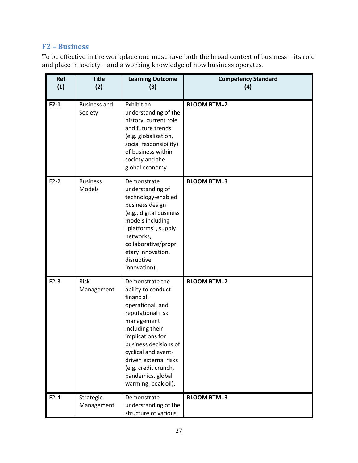# <span id="page-26-0"></span>**F2 – Business**

To be effective in the workplace one must have both the broad context of business – its role and place in society – and a working knowledge of how business operates.

| Ref<br>(1) | <b>Title</b><br>(2)            | <b>Learning Outcome</b><br>(3)                                                                                                                                                                                                                                                                 | <b>Competency Standard</b><br>(4) |
|------------|--------------------------------|------------------------------------------------------------------------------------------------------------------------------------------------------------------------------------------------------------------------------------------------------------------------------------------------|-----------------------------------|
| $F2-1$     | <b>Business and</b><br>Society | Exhibit an<br>understanding of the<br>history, current role<br>and future trends<br>(e.g. globalization,<br>social responsibility)<br>of business within<br>society and the<br>global economy                                                                                                  | <b>BLOOM BTM=2</b>                |
| $F2-2$     | <b>Business</b><br>Models      | Demonstrate<br>understanding of<br>technology-enabled<br>business design<br>(e.g., digital business<br>models including<br>"platforms", supply<br>networks,<br>collaborative/propri<br>etary innovation,<br>disruptive<br>innovation).                                                         | <b>BLOOM BTM=3</b>                |
| $F2-3$     | Risk<br>Management             | Demonstrate the<br>ability to conduct<br>financial,<br>operational, and<br>reputational risk<br>management<br>including their<br>implications for<br>business decisions of<br>cyclical and event-<br>driven external risks<br>(e.g. credit crunch,<br>pandemics, global<br>warming, peak oil). | <b>BLOOM BTM=2</b>                |
| $F2-4$     | Strategic<br>Management        | Demonstrate<br>understanding of the<br>structure of various                                                                                                                                                                                                                                    | <b>BLOOM BTM=3</b>                |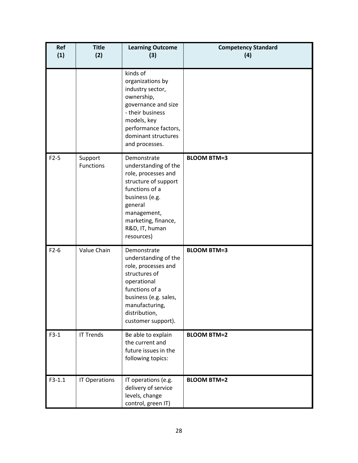| Ref<br>(1) | <b>Title</b><br>(2)         | <b>Learning Outcome</b><br>(3)                                                                                                                                                                          | <b>Competency Standard</b><br>(4) |
|------------|-----------------------------|---------------------------------------------------------------------------------------------------------------------------------------------------------------------------------------------------------|-----------------------------------|
|            |                             | kinds of<br>organizations by<br>industry sector,<br>ownership,<br>governance and size<br>- their business<br>models, key<br>performance factors,<br>dominant structures<br>and processes.               |                                   |
| $F2-5$     | Support<br><b>Functions</b> | Demonstrate<br>understanding of the<br>role, processes and<br>structure of support<br>functions of a<br>business (e.g.<br>general<br>management,<br>marketing, finance,<br>R&D, IT, human<br>resources) | <b>BLOOM BTM=3</b>                |
| $F2-6$     | Value Chain                 | Demonstrate<br>understanding of the<br>role, processes and<br>structures of<br>operational<br>functions of a<br>business (e.g. sales,<br>manufacturing,<br>distribution,<br>customer support).          | <b>BLOOM BTM=3</b>                |
| $F3-1$     | <b>IT Trends</b>            | Be able to explain<br>the current and<br>future issues in the<br>following topics:                                                                                                                      | <b>BLOOM BTM=2</b>                |
| $F3-1.1$   | IT Operations               | IT operations (e.g.<br>delivery of service<br>levels, change<br>control, green IT)                                                                                                                      | <b>BLOOM BTM=2</b>                |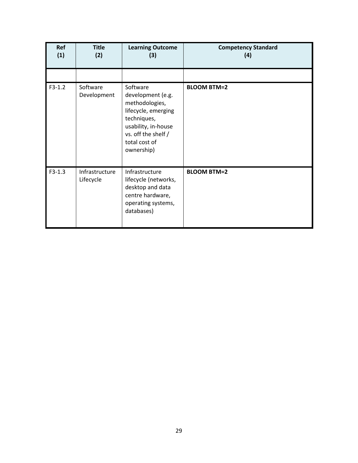| Ref<br>(1) | <b>Title</b><br>(2)         | <b>Learning Outcome</b><br>(3)                                                                                                                                     | <b>Competency Standard</b><br>(4) |
|------------|-----------------------------|--------------------------------------------------------------------------------------------------------------------------------------------------------------------|-----------------------------------|
|            |                             |                                                                                                                                                                    |                                   |
| $F3-1.2$   | Software<br>Development     | Software<br>development (e.g.<br>methodologies,<br>lifecycle, emerging<br>techniques,<br>usability, in-house<br>vs. off the shelf /<br>total cost of<br>ownership) | <b>BLOOM BTM=2</b>                |
| $F3-1.3$   | Infrastructure<br>Lifecycle | Infrastructure<br>lifecycle (networks,<br>desktop and data<br>centre hardware,<br>operating systems,<br>databases)                                                 | <b>BLOOM BTM=2</b>                |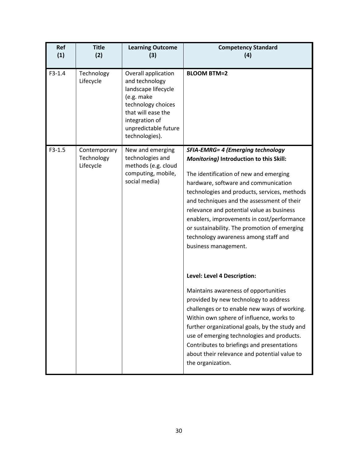| Ref<br>(1) | <b>Title</b><br>(2)                     | <b>Learning Outcome</b><br>(3)                                                                                                                                                     | <b>Competency Standard</b><br>(4)                                                                                                                                                                                                                                                                                                                                                                                                                                              |
|------------|-----------------------------------------|------------------------------------------------------------------------------------------------------------------------------------------------------------------------------------|--------------------------------------------------------------------------------------------------------------------------------------------------------------------------------------------------------------------------------------------------------------------------------------------------------------------------------------------------------------------------------------------------------------------------------------------------------------------------------|
| $F3-1.4$   | Technology<br>Lifecycle                 | Overall application<br>and technology<br>landscape lifecycle<br>(e.g. make<br>technology choices<br>that will ease the<br>integration of<br>unpredictable future<br>technologies). | <b>BLOOM BTM=2</b>                                                                                                                                                                                                                                                                                                                                                                                                                                                             |
| $F3-1.5$   | Contemporary<br>Technology<br>Lifecycle | New and emerging<br>technologies and<br>methods (e.g. cloud<br>computing, mobile,<br>social media)                                                                                 | <b>SFIA-EMRG= 4 (Emerging technology</b><br>Monitoring) Introduction to this Skill:<br>The identification of new and emerging<br>hardware, software and communication<br>technologies and products, services, methods<br>and techniques and the assessment of their<br>relevance and potential value as business<br>enablers, improvements in cost/performance<br>or sustainability. The promotion of emerging<br>technology awareness among staff and<br>business management. |
|            |                                         |                                                                                                                                                                                    | Level: Level 4 Description:<br>Maintains awareness of opportunities<br>provided by new technology to address<br>challenges or to enable new ways of working.<br>Within own sphere of influence, works to<br>further organizational goals, by the study and<br>use of emerging technologies and products.<br>Contributes to briefings and presentations<br>about their relevance and potential value to<br>the organization.                                                    |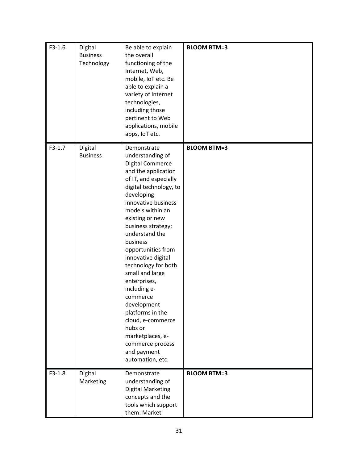| $F3-1.6$ | Digital<br><b>Business</b><br>Technology | Be able to explain<br>the overall<br>functioning of the<br>Internet, Web,<br>mobile, IoT etc. Be<br>able to explain a<br>variety of Internet<br>technologies,<br>including those<br>pertinent to Web<br>applications, mobile<br>apps, IoT etc.                                                                                                                                                                                                                                                                                                | <b>BLOOM BTM=3</b> |
|----------|------------------------------------------|-----------------------------------------------------------------------------------------------------------------------------------------------------------------------------------------------------------------------------------------------------------------------------------------------------------------------------------------------------------------------------------------------------------------------------------------------------------------------------------------------------------------------------------------------|--------------------|
| $F3-1.7$ | Digital<br><b>Business</b>               | Demonstrate<br>understanding of<br>Digital Commerce<br>and the application<br>of IT, and especially<br>digital technology, to<br>developing<br>innovative business<br>models within an<br>existing or new<br>business strategy;<br>understand the<br>business<br>opportunities from<br>innovative digital<br>technology for both<br>small and large<br>enterprises,<br>including e-<br>commerce<br>development<br>platforms in the<br>cloud, e-commerce<br>hubs or<br>marketplaces, e-<br>commerce process<br>and payment<br>automation, etc. | <b>BLOOM BTM=3</b> |
| $F3-1.8$ | Digital<br>Marketing                     | Demonstrate<br>understanding of<br><b>Digital Marketing</b><br>concepts and the<br>tools which support<br>them: Market                                                                                                                                                                                                                                                                                                                                                                                                                        | <b>BLOOM BTM=3</b> |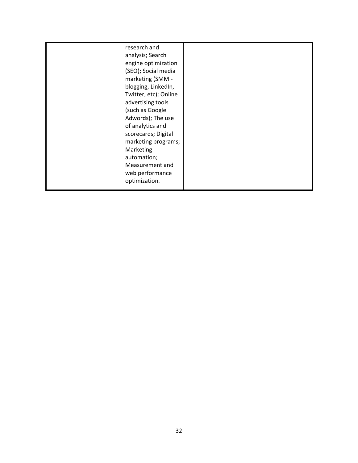| research and<br>analysis; Search<br>engine optimization<br>(SEO); Social media<br>marketing (SMM -<br>blogging, LinkedIn,<br>Twitter, etc); Online<br>advertising tools<br>(such as Google<br>Adwords); The use<br>of analytics and<br>scorecards; Digital<br>marketing programs;<br>Marketing<br>automation;<br>Measurement and<br>web performance<br>optimization. |  |
|----------------------------------------------------------------------------------------------------------------------------------------------------------------------------------------------------------------------------------------------------------------------------------------------------------------------------------------------------------------------|--|
|----------------------------------------------------------------------------------------------------------------------------------------------------------------------------------------------------------------------------------------------------------------------------------------------------------------------------------------------------------------------|--|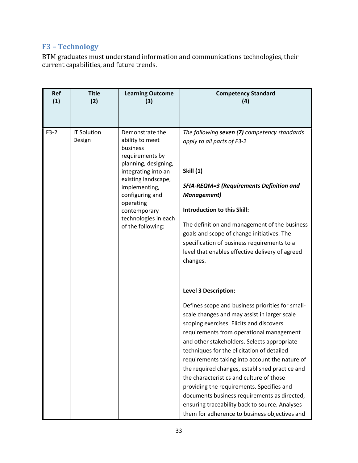# <span id="page-32-0"></span>**F3 – Technology**

BTM graduates must understand information and communications technologies, their current capabilities, and future trends.

| Ref<br><b>Title</b><br><b>Learning Outcome</b><br><b>Competency Standard</b><br>(1)<br>(2)<br>(3)<br>(4)                                                                                                                                                                                                                                                                                                                                                                                                                                                                                                                                                                                                                                                                                                                                                                                                                                                                                                                                                                                                                                                                                                                                                                                                                                                                                        |  |
|-------------------------------------------------------------------------------------------------------------------------------------------------------------------------------------------------------------------------------------------------------------------------------------------------------------------------------------------------------------------------------------------------------------------------------------------------------------------------------------------------------------------------------------------------------------------------------------------------------------------------------------------------------------------------------------------------------------------------------------------------------------------------------------------------------------------------------------------------------------------------------------------------------------------------------------------------------------------------------------------------------------------------------------------------------------------------------------------------------------------------------------------------------------------------------------------------------------------------------------------------------------------------------------------------------------------------------------------------------------------------------------------------|--|
| $F3-2$<br><b>IT Solution</b><br>The following seven (7) competency standards<br>Demonstrate the<br>Design<br>ability to meet<br>apply to all parts of F3-2<br>business<br>requirements by<br>planning, designing,<br><b>Skill (1)</b><br>integrating into an<br>existing landscape,<br><b>SFIA-REQM=3 (Requirements Definition and</b><br>implementing,<br>configuring and<br><b>Management</b> )<br>operating<br>Introduction to this Skill:<br>contemporary<br>technologies in each<br>The definition and management of the business<br>of the following:<br>goals and scope of change initiatives. The<br>specification of business requirements to a<br>level that enables effective delivery of agreed<br>changes.<br><b>Level 3 Description:</b><br>Defines scope and business priorities for small-<br>scale changes and may assist in larger scale<br>scoping exercises. Elicits and discovers<br>requirements from operational management<br>and other stakeholders. Selects appropriate<br>techniques for the elicitation of detailed<br>requirements taking into account the nature of<br>the required changes, established practice and<br>the characteristics and culture of those<br>providing the requirements. Specifies and<br>documents business requirements as directed,<br>ensuring traceability back to source. Analyses<br>them for adherence to business objectives and |  |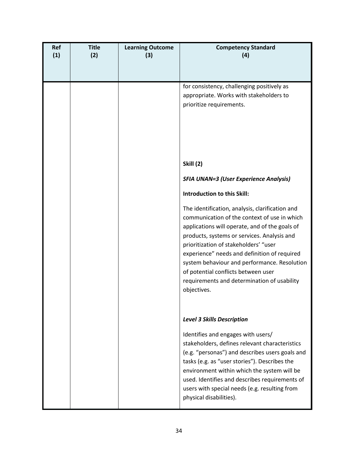| Ref<br>(1) | <b>Title</b><br>(2) | <b>Learning Outcome</b><br>(3) | <b>Competency Standard</b><br>(4)                                                                                                                                                                                                                                                                                                                                                                                                              |
|------------|---------------------|--------------------------------|------------------------------------------------------------------------------------------------------------------------------------------------------------------------------------------------------------------------------------------------------------------------------------------------------------------------------------------------------------------------------------------------------------------------------------------------|
|            |                     |                                | for consistency, challenging positively as<br>appropriate. Works with stakeholders to<br>prioritize requirements.                                                                                                                                                                                                                                                                                                                              |
|            |                     |                                | <b>Skill (2)</b>                                                                                                                                                                                                                                                                                                                                                                                                                               |
|            |                     |                                | <b>SFIA UNAN=3 (User Experience Analysis)</b>                                                                                                                                                                                                                                                                                                                                                                                                  |
|            |                     |                                | <b>Introduction to this Skill:</b>                                                                                                                                                                                                                                                                                                                                                                                                             |
|            |                     |                                | The identification, analysis, clarification and<br>communication of the context of use in which<br>applications will operate, and of the goals of<br>products, systems or services. Analysis and<br>prioritization of stakeholders' "user<br>experience" needs and definition of required<br>system behaviour and performance. Resolution<br>of potential conflicts between user<br>requirements and determination of usability<br>objectives. |
|            |                     |                                | <b>Level 3 Skills Description</b>                                                                                                                                                                                                                                                                                                                                                                                                              |
|            |                     |                                | Identifies and engages with users/<br>stakeholders, defines relevant characteristics<br>(e.g. "personas") and describes users goals and<br>tasks (e.g. as "user stories"). Describes the<br>environment within which the system will be<br>used. Identifies and describes requirements of<br>users with special needs (e.g. resulting from<br>physical disabilities).                                                                          |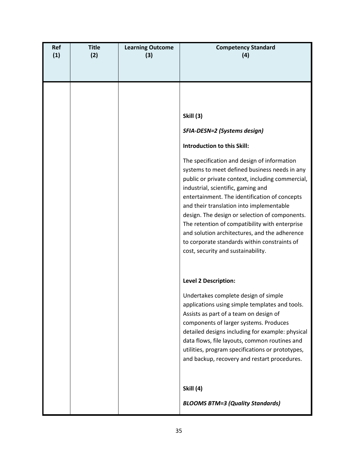| Ref<br>(1) | <b>Title</b><br>(2) | <b>Learning Outcome</b><br>(3) | <b>Competency Standard</b><br>(4)                                                                                                                                                                                                                                                                                                                                                                                                                                                                                                                                                                                 |
|------------|---------------------|--------------------------------|-------------------------------------------------------------------------------------------------------------------------------------------------------------------------------------------------------------------------------------------------------------------------------------------------------------------------------------------------------------------------------------------------------------------------------------------------------------------------------------------------------------------------------------------------------------------------------------------------------------------|
|            |                     |                                | <b>Skill (3)</b><br>SFIA-DESN=2 (Systems design)<br>Introduction to this Skill:<br>The specification and design of information<br>systems to meet defined business needs in any<br>public or private context, including commercial,<br>industrial, scientific, gaming and<br>entertainment. The identification of concepts<br>and their translation into implementable<br>design. The design or selection of components.<br>The retention of compatibility with enterprise<br>and solution architectures, and the adherence<br>to corporate standards within constraints of<br>cost, security and sustainability. |
|            |                     |                                | <b>Level 2 Description:</b><br>Undertakes complete design of simple<br>applications using simple templates and tools.<br>Assists as part of a team on design of<br>components of larger systems. Produces<br>detailed designs including for example: physical<br>data flows, file layouts, common routines and<br>utilities, program specifications or prototypes,<br>and backup, recovery and restart procedures.<br><b>Skill (4)</b><br><b>BLOOMS BTM=3 (Quality Standards)</b>                                                                                                                                 |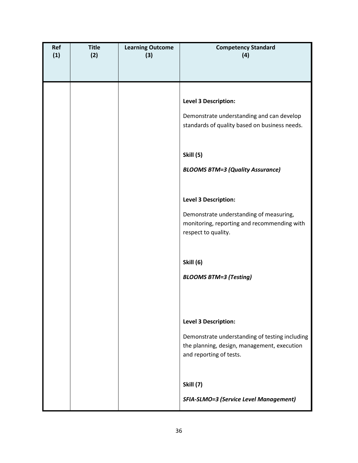| Ref<br>(1) | <b>Title</b><br>(2) | <b>Learning Outcome</b><br>(3) | <b>Competency Standard</b><br>(4)                                                                                        |
|------------|---------------------|--------------------------------|--------------------------------------------------------------------------------------------------------------------------|
|            |                     |                                |                                                                                                                          |
|            |                     |                                |                                                                                                                          |
|            |                     |                                | Level 3 Description:                                                                                                     |
|            |                     |                                | Demonstrate understanding and can develop<br>standards of quality based on business needs.                               |
|            |                     |                                | <b>Skill (5)</b>                                                                                                         |
|            |                     |                                | <b>BLOOMS BTM=3 (Quality Assurance)</b>                                                                                  |
|            |                     |                                | Level 3 Description:                                                                                                     |
|            |                     |                                | Demonstrate understanding of measuring,<br>monitoring, reporting and recommending with<br>respect to quality.            |
|            |                     |                                | <b>Skill (6)</b>                                                                                                         |
|            |                     |                                | <b>BLOOMS BTM=3 (Testing)</b>                                                                                            |
|            |                     |                                |                                                                                                                          |
|            |                     |                                | Level 3 Description:                                                                                                     |
|            |                     |                                | Demonstrate understanding of testing including<br>the planning, design, management, execution<br>and reporting of tests. |
|            |                     |                                | <b>Skill (7)</b>                                                                                                         |
|            |                     |                                | <b>SFIA-SLMO=3 (Service Level Management)</b>                                                                            |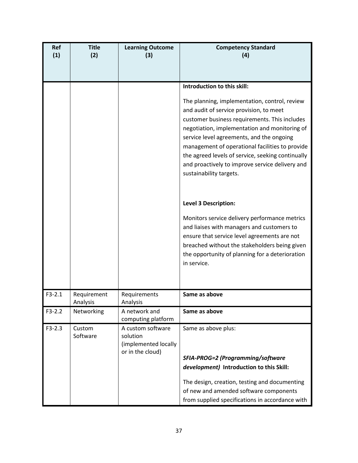| Ref<br>(1) | <b>Title</b><br>(2)     | <b>Learning Outcome</b><br>(3)                                            | <b>Competency Standard</b><br>(4)                                                                                                                                                                                                                                                                                                                                                                                             |
|------------|-------------------------|---------------------------------------------------------------------------|-------------------------------------------------------------------------------------------------------------------------------------------------------------------------------------------------------------------------------------------------------------------------------------------------------------------------------------------------------------------------------------------------------------------------------|
|            |                         |                                                                           |                                                                                                                                                                                                                                                                                                                                                                                                                               |
|            |                         |                                                                           | Introduction to this skill:                                                                                                                                                                                                                                                                                                                                                                                                   |
|            |                         |                                                                           | The planning, implementation, control, review<br>and audit of service provision, to meet<br>customer business requirements. This includes<br>negotiation, implementation and monitoring of<br>service level agreements, and the ongoing<br>management of operational facilities to provide<br>the agreed levels of service, seeking continually<br>and proactively to improve service delivery and<br>sustainability targets. |
|            |                         |                                                                           | <b>Level 3 Description:</b>                                                                                                                                                                                                                                                                                                                                                                                                   |
|            |                         |                                                                           | Monitors service delivery performance metrics<br>and liaises with managers and customers to<br>ensure that service level agreements are not<br>breached without the stakeholders being given<br>the opportunity of planning for a deterioration<br>in service.                                                                                                                                                                |
| $F3-2.1$   | Requirement<br>Analysis | Requirements<br>Analysis                                                  | Same as above                                                                                                                                                                                                                                                                                                                                                                                                                 |
| $F3-2.2$   | Networking              | A network and<br>computing platform                                       | Same as above                                                                                                                                                                                                                                                                                                                                                                                                                 |
| $F3-2.3$   | Custom<br>Software      | A custom software<br>solution<br>(implemented locally<br>or in the cloud) | Same as above plus:<br>SFIA-PROG=2 (Programming/software<br>development) Introduction to this Skill:<br>The design, creation, testing and documenting<br>of new and amended software components                                                                                                                                                                                                                               |
|            |                         |                                                                           | from supplied specifications in accordance with                                                                                                                                                                                                                                                                                                                                                                               |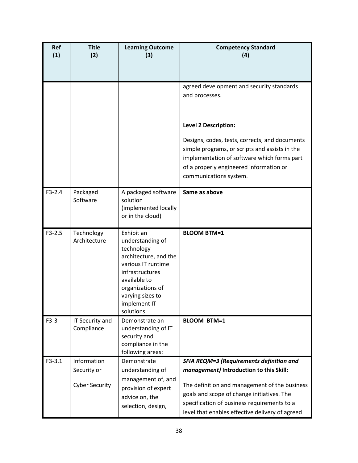| Ref<br>(1) | <b>Title</b><br>(2)                                 | <b>Learning Outcome</b><br>(3)                                                                                                                                                                       | <b>Competency Standard</b><br>(4)                                                                                                                                                                                                                                                           |
|------------|-----------------------------------------------------|------------------------------------------------------------------------------------------------------------------------------------------------------------------------------------------------------|---------------------------------------------------------------------------------------------------------------------------------------------------------------------------------------------------------------------------------------------------------------------------------------------|
|            |                                                     |                                                                                                                                                                                                      | agreed development and security standards<br>and processes.                                                                                                                                                                                                                                 |
|            |                                                     |                                                                                                                                                                                                      | <b>Level 2 Description:</b><br>Designs, codes, tests, corrects, and documents<br>simple programs, or scripts and assists in the<br>implementation of software which forms part<br>of a properly engineered information or<br>communications system.                                         |
| $F3-2.4$   | Packaged<br>Software                                | A packaged software<br>solution<br>(implemented locally<br>or in the cloud)                                                                                                                          | Same as above                                                                                                                                                                                                                                                                               |
| $F3-2.5$   | Technology<br>Architecture                          | Exhibit an<br>understanding of<br>technology<br>architecture, and the<br>various IT runtime<br>infrastructures<br>available to<br>organizations of<br>varying sizes to<br>implement IT<br>solutions. | <b>BLOOM BTM=1</b>                                                                                                                                                                                                                                                                          |
| $F3-3$     | IT Security and<br>Compliance                       | Demonstrate an<br>understanding of IT<br>security and<br>compliance in the<br>following areas:                                                                                                       | <b>BLOOM BTM=1</b>                                                                                                                                                                                                                                                                          |
| $F3-3.1$   | Information<br>Security or<br><b>Cyber Security</b> | Demonstrate<br>understanding of<br>management of, and<br>provision of expert<br>advice on, the<br>selection, design,                                                                                 | <b>SFIA REQM=3 (Requirements definition and</b><br>management) Introduction to this Skill:<br>The definition and management of the business<br>goals and scope of change initiatives. The<br>specification of business requirements to a<br>level that enables effective delivery of agreed |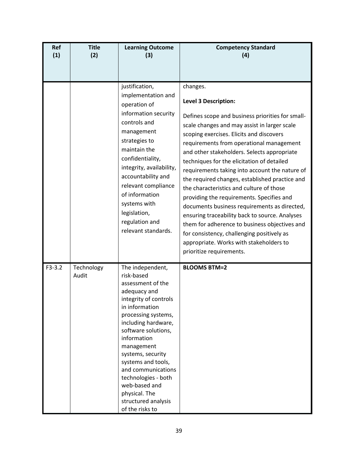| Ref<br>(1) | <b>Title</b><br>(2) | <b>Learning Outcome</b><br>(3)                                                                                                                                                                                                                                                                                                                                                       | <b>Competency Standard</b><br>(4)                                                                                                                                                                                                                                                                                                                                                                                                                                                                                                                                                                                                                                                                                                                                                              |
|------------|---------------------|--------------------------------------------------------------------------------------------------------------------------------------------------------------------------------------------------------------------------------------------------------------------------------------------------------------------------------------------------------------------------------------|------------------------------------------------------------------------------------------------------------------------------------------------------------------------------------------------------------------------------------------------------------------------------------------------------------------------------------------------------------------------------------------------------------------------------------------------------------------------------------------------------------------------------------------------------------------------------------------------------------------------------------------------------------------------------------------------------------------------------------------------------------------------------------------------|
|            |                     | justification,<br>implementation and<br>operation of<br>information security<br>controls and<br>management<br>strategies to<br>maintain the<br>confidentiality,<br>integrity, availability,<br>accountability and<br>relevant compliance<br>of information<br>systems with<br>legislation,<br>regulation and<br>relevant standards.                                                  | changes.<br>Level 3 Description:<br>Defines scope and business priorities for small-<br>scale changes and may assist in larger scale<br>scoping exercises. Elicits and discovers<br>requirements from operational management<br>and other stakeholders. Selects appropriate<br>techniques for the elicitation of detailed<br>requirements taking into account the nature of<br>the required changes, established practice and<br>the characteristics and culture of those<br>providing the requirements. Specifies and<br>documents business requirements as directed,<br>ensuring traceability back to source. Analyses<br>them for adherence to business objectives and<br>for consistency, challenging positively as<br>appropriate. Works with stakeholders to<br>prioritize requirements. |
| $F3-3.2$   | Technology<br>Audit | The independent,<br>risk-based<br>assessment of the<br>adequacy and<br>integrity of controls<br>in information<br>processing systems,<br>including hardware,<br>software solutions,<br>information<br>management<br>systems, security<br>systems and tools,<br>and communications<br>technologies - both<br>web-based and<br>physical. The<br>structured analysis<br>of the risks to | <b>BLOOMS BTM=2</b>                                                                                                                                                                                                                                                                                                                                                                                                                                                                                                                                                                                                                                                                                                                                                                            |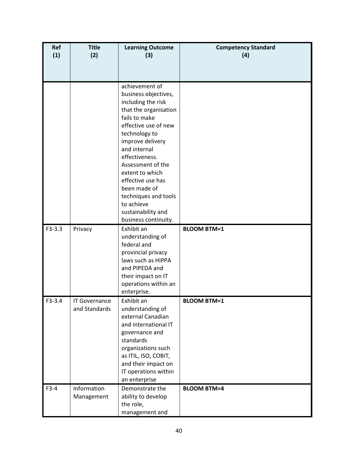| Ref<br>(1) | <b>Title</b><br>(2)                   | <b>Learning Outcome</b><br>(3)                                                                                                                                                                                                                                                                                           | <b>Competency Standard</b><br>(4) |
|------------|---------------------------------------|--------------------------------------------------------------------------------------------------------------------------------------------------------------------------------------------------------------------------------------------------------------------------------------------------------------------------|-----------------------------------|
|            |                                       |                                                                                                                                                                                                                                                                                                                          |                                   |
|            |                                       | achievement of<br>business objectives,<br>including the risk<br>that the organisation<br>fails to make<br>effective use of new<br>technology to<br>improve delivery<br>and internal<br>effectiveness.<br>Assessment of the<br>extent to which<br>effective use has<br>been made of<br>techniques and tools<br>to achieve |                                   |
|            |                                       | sustainability and<br>business continuity.                                                                                                                                                                                                                                                                               |                                   |
| $F3-3.3$   | Privacy                               | Exhibit an<br>understanding of<br>federal and<br>provincial privacy<br>laws such as HIPPA<br>and PIPEDA and<br>their impact on IT<br>operations within an<br>enterprise.                                                                                                                                                 | <b>BLOOM BTM=1</b>                |
| $F3-3.4$   | <b>IT Governance</b><br>and Standards | Exhibit an<br>understanding of<br>external Canadian<br>and international IT<br>governance and<br>standards<br>organizations such<br>as ITIL, ISO, COBIT,<br>and their impact on<br>IT operations within<br>an enterprise                                                                                                 | <b>BLOOM BTM=1</b>                |
| $F3-4$     | Information<br>Management             | Demonstrate the<br>ability to develop<br>the role,<br>management and                                                                                                                                                                                                                                                     | <b>BLOOM BTM=4</b>                |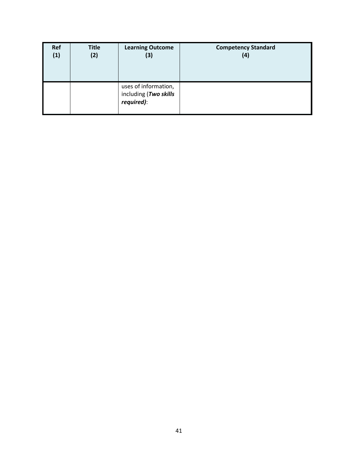| Ref | <b>Title</b> | <b>Learning Outcome</b>                                     | <b>Competency Standard</b> |
|-----|--------------|-------------------------------------------------------------|----------------------------|
| (1) | (2)          | (3)                                                         | (4)                        |
|     |              | uses of information,<br>including (Two skills<br>required): |                            |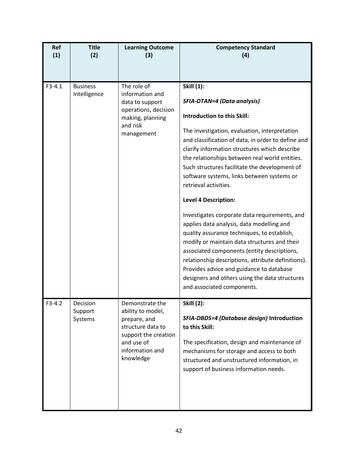| <b>Ref</b><br>(1) | <b>Title</b><br>(2)             | <b>Learning Outcome</b><br>(3)                                                                                                                  | <b>Competency Standard</b><br>(4)                                                                                                                                                                                                                                                                                                                                                                                                                                                                                                                                                                                                                                                                                                                                                                                                                                                     |
|-------------------|---------------------------------|-------------------------------------------------------------------------------------------------------------------------------------------------|---------------------------------------------------------------------------------------------------------------------------------------------------------------------------------------------------------------------------------------------------------------------------------------------------------------------------------------------------------------------------------------------------------------------------------------------------------------------------------------------------------------------------------------------------------------------------------------------------------------------------------------------------------------------------------------------------------------------------------------------------------------------------------------------------------------------------------------------------------------------------------------|
| $F3-4.1$          | <b>Business</b><br>Intelligence | The role of<br>information and<br>data to support<br>operations, decision<br>making, planning<br>and risk<br>management                         | <b>Skill (1):</b><br><b>SFIA-DTAN=4 (Data analysis)</b><br>Introduction to this Skill:<br>The investigation, evaluation, interpretation<br>and classification of data, in order to define and<br>clarify information structures which describe<br>the relationships between real world entities.<br>Such structures facilitate the development of<br>software systems, links between systems or<br>retrieval activities.<br><b>Level 4 Description:</b><br>Investigates corporate data requirements, and<br>applies data analysis, data modelling and<br>quality assurance techniques, to establish,<br>modify or maintain data structures and their<br>associated components (entity descriptions,<br>relationship descriptions, attribute definitions).<br>Provides advice and guidance to database<br>designers and others using the data structures<br>and associated components. |
| $F3-4.2$          | Decision<br>Support<br>Systems  | Demonstrate the<br>ability to model,<br>prepare, and<br>structure data to<br>support the creation<br>and use of<br>information and<br>knowledge | <b>Skill (2):</b><br>SFIA-DBDS=4 (Database design) Introduction<br>to this Skill:<br>The specification, design and maintenance of<br>mechanisms for storage and access to both<br>structured and unstructured information, in<br>support of business information needs.                                                                                                                                                                                                                                                                                                                                                                                                                                                                                                                                                                                                               |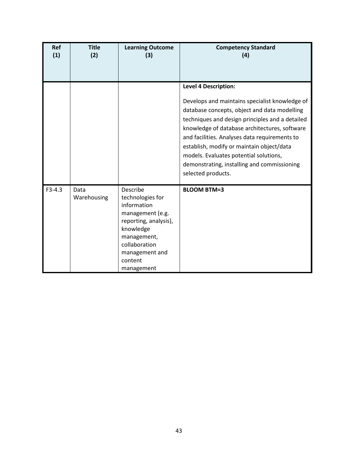| <b>Ref</b><br>(1) | <b>Title</b><br>(2) | <b>Learning Outcome</b><br>(3)                                                                                                                                                   | <b>Competency Standard</b><br>(4)                                                                                                                                                                                                                                                                                                                                                                                                              |
|-------------------|---------------------|----------------------------------------------------------------------------------------------------------------------------------------------------------------------------------|------------------------------------------------------------------------------------------------------------------------------------------------------------------------------------------------------------------------------------------------------------------------------------------------------------------------------------------------------------------------------------------------------------------------------------------------|
|                   |                     |                                                                                                                                                                                  |                                                                                                                                                                                                                                                                                                                                                                                                                                                |
|                   |                     |                                                                                                                                                                                  | <b>Level 4 Description:</b><br>Develops and maintains specialist knowledge of<br>database concepts, object and data modelling<br>techniques and design principles and a detailed<br>knowledge of database architectures, software<br>and facilities. Analyses data requirements to<br>establish, modify or maintain object/data<br>models. Evaluates potential solutions,<br>demonstrating, installing and commissioning<br>selected products. |
| $F3-4.3$          | Data<br>Warehousing | Describe<br>technologies for<br>information<br>management (e.g.<br>reporting, analysis),<br>knowledge<br>management,<br>collaboration<br>management and<br>content<br>management | <b>BLOOM BTM=3</b>                                                                                                                                                                                                                                                                                                                                                                                                                             |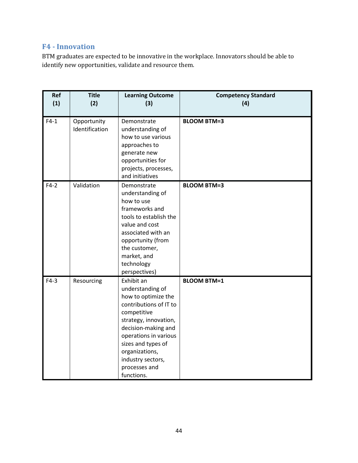# <span id="page-43-0"></span>**F4 - Innovation**

BTM graduates are expected to be innovative in the workplace. Innovators should be able to identify new opportunities, validate and resource them.

| Ref<br>(1) | <b>Title</b><br>(2)           | <b>Learning Outcome</b><br>(3)                                                                                                                                                                                                                                      | <b>Competency Standard</b><br>(4) |
|------------|-------------------------------|---------------------------------------------------------------------------------------------------------------------------------------------------------------------------------------------------------------------------------------------------------------------|-----------------------------------|
| $F4-1$     | Opportunity<br>Identification | Demonstrate<br>understanding of<br>how to use various<br>approaches to<br>generate new<br>opportunities for<br>projects, processes,<br>and initiatives                                                                                                              | <b>BLOOM BTM=3</b>                |
| $F4-2$     | Validation                    | Demonstrate<br>understanding of<br>how to use<br>frameworks and<br>tools to establish the<br>value and cost<br>associated with an<br>opportunity (from<br>the customer,<br>market, and<br>technology<br>perspectives)                                               | <b>BLOOM BTM=3</b>                |
| $F4-3$     | Resourcing                    | Exhibit an<br>understanding of<br>how to optimize the<br>contributions of IT to<br>competitive<br>strategy, innovation,<br>decision-making and<br>operations in various<br>sizes and types of<br>organizations,<br>industry sectors,<br>processes and<br>functions. | <b>BLOOM BTM=1</b>                |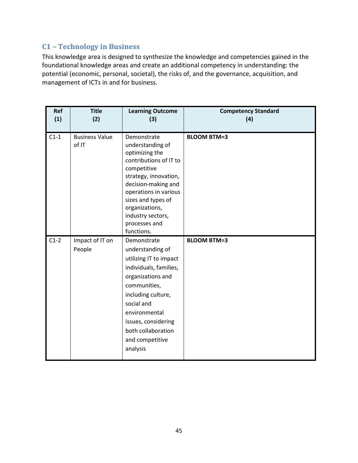# <span id="page-44-0"></span>**C1 – Technology in Business**

This knowledge area is designed to synthesize the knowledge and competencies gained in the foundational knowledge areas and create an additional competency in understanding: the potential (economic, personal, societal), the risks of, and the governance, acquisition, and management of ICTs in and for business.

| Ref<br>(1) | <b>Title</b><br>(2)            | <b>Learning Outcome</b><br>(3)                                                                                                                                                                                                                                  | <b>Competency Standard</b><br>(4) |
|------------|--------------------------------|-----------------------------------------------------------------------------------------------------------------------------------------------------------------------------------------------------------------------------------------------------------------|-----------------------------------|
| $C1-1$     | <b>Business Value</b><br>of IT | Demonstrate<br>understanding of<br>optimizing the<br>contributions of IT to<br>competitive<br>strategy, innovation,<br>decision-making and<br>operations in various<br>sizes and types of<br>organizations,<br>industry sectors,<br>processes and<br>functions. | <b>BLOOM BTM=3</b>                |
| $C1-2$     | Impact of IT on<br>People      | Demonstrate<br>understanding of<br>utilizing IT to impact<br>individuals, families,<br>organizations and<br>communities,<br>including culture,<br>social and<br>environmental<br>issues, considering<br>both collaboration<br>and competitive<br>analysis       | <b>BLOOM BTM=3</b>                |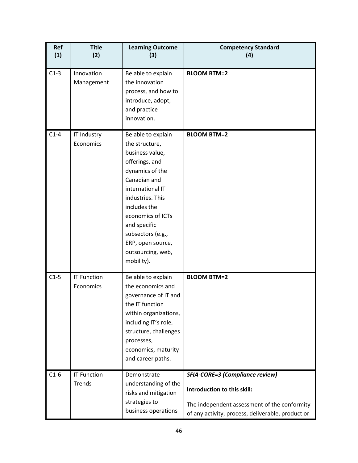| Ref<br>(1) | <b>Title</b><br>(2)             | <b>Learning Outcome</b><br>(3)                                                                                                                                                                                                                                                         | <b>Competency Standard</b><br>(4)                                                                                                                                          |
|------------|---------------------------------|----------------------------------------------------------------------------------------------------------------------------------------------------------------------------------------------------------------------------------------------------------------------------------------|----------------------------------------------------------------------------------------------------------------------------------------------------------------------------|
| $C1-3$     | Innovation<br>Management        | Be able to explain<br>the innovation<br>process, and how to<br>introduce, adopt,<br>and practice<br>innovation.                                                                                                                                                                        | <b>BLOOM BTM=2</b>                                                                                                                                                         |
| $C1-4$     | IT Industry<br>Economics        | Be able to explain<br>the structure,<br>business value,<br>offerings, and<br>dynamics of the<br>Canadian and<br>international IT<br>industries. This<br>includes the<br>economics of ICTs<br>and specific<br>subsectors (e.g.,<br>ERP, open source,<br>outsourcing, web,<br>mobility). | <b>BLOOM BTM=2</b>                                                                                                                                                         |
| $C1-5$     | <b>IT Function</b><br>Economics | Be able to explain<br>the economics and<br>governance of IT and<br>the IT function<br>within organizations,<br>including IT's role,<br>structure, challenges<br>processes,<br>economics, maturity<br>and career paths.                                                                 | <b>BLOOM BTM=2</b>                                                                                                                                                         |
| $C1-6$     | <b>IT Function</b><br>Trends    | Demonstrate<br>understanding of the<br>risks and mitigation<br>strategies to<br>business operations                                                                                                                                                                                    | <b>SFIA-CORE=3 (Compliance review)</b><br>Introduction to this skill:<br>The independent assessment of the conformity<br>of any activity, process, deliverable, product or |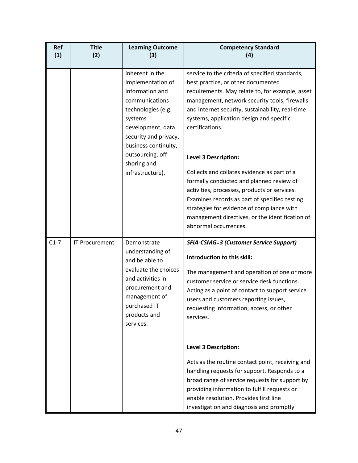| <b>Ref</b><br>(1) | <b>Title</b><br>(2)   | <b>Learning Outcome</b><br>(3)                                                                                                                                                                        | <b>Competency Standard</b><br>(4)                                                                                                                                                                                                                                                                                                           |
|-------------------|-----------------------|-------------------------------------------------------------------------------------------------------------------------------------------------------------------------------------------------------|---------------------------------------------------------------------------------------------------------------------------------------------------------------------------------------------------------------------------------------------------------------------------------------------------------------------------------------------|
|                   |                       | inherent in the<br>implementation of<br>information and<br>communications<br>technologies (e.g.<br>systems<br>development, data<br>security and privacy,<br>business continuity,<br>outsourcing, off- | service to the criteria of specified standards,<br>best practice, or other documented<br>requirements. May relate to, for example, asset<br>management, network security tools, firewalls<br>and internet security, sustainability, real-time<br>systems, application design and specific<br>certifications.<br><b>Level 3 Description:</b> |
|                   |                       | shoring and<br>infrastructure).                                                                                                                                                                       | Collects and collates evidence as part of a<br>formally conducted and planned review of<br>activities, processes, products or services.<br>Examines records as part of specified testing<br>strategies for evidence of compliance with<br>management directives, or the identification of<br>abnormal occurrences.                          |
| $C1-7$            | <b>IT Procurement</b> | Demonstrate<br>understanding of<br>and be able to<br>evaluate the choices<br>and activities in<br>procurement and<br>management of<br>purchased IT<br>products and<br>services.                       | <b>SFIA-CSMG=3 (Customer Service Support)</b><br>Introduction to this skill:<br>The management and operation of one or more<br>customer service or service desk functions.<br>Acting as a point of contact to support service<br>users and customers reporting issues,<br>requesting information, access, or other<br>services.             |
|                   |                       |                                                                                                                                                                                                       | <b>Level 3 Description:</b><br>Acts as the routine contact point, receiving and<br>handling requests for support. Responds to a<br>broad range of service requests for support by<br>providing information to fulfill requests or<br>enable resolution. Provides first line<br>investigation and diagnosis and promptly                     |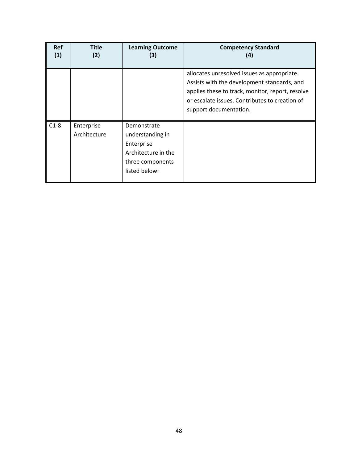| <b>Ref</b><br>(1) | <b>Title</b><br>(2)        | <b>Learning Outcome</b><br>(3)                                                                            | <b>Competency Standard</b><br>(4)                                                                                                                                                                                          |
|-------------------|----------------------------|-----------------------------------------------------------------------------------------------------------|----------------------------------------------------------------------------------------------------------------------------------------------------------------------------------------------------------------------------|
|                   |                            |                                                                                                           | allocates unresolved issues as appropriate.<br>Assists with the development standards, and<br>applies these to track, monitor, report, resolve<br>or escalate issues. Contributes to creation of<br>support documentation. |
| $C1-8$            | Enterprise<br>Architecture | Demonstrate<br>understanding in<br>Enterprise<br>Architecture in the<br>three components<br>listed below: |                                                                                                                                                                                                                            |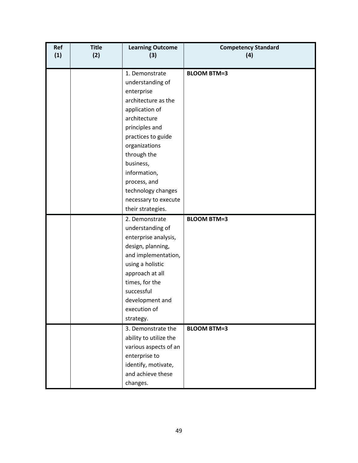| Ref<br>(1) | <b>Title</b><br>(2) | <b>Learning Outcome</b><br>(3)                                                                                                                                                                                                 | <b>Competency Standard</b><br>(4) |
|------------|---------------------|--------------------------------------------------------------------------------------------------------------------------------------------------------------------------------------------------------------------------------|-----------------------------------|
|            |                     | 1. Demonstrate<br>understanding of<br>enterprise<br>architecture as the<br>application of<br>architecture<br>principles and<br>practices to guide<br>organizations<br>through the<br>business,<br>information,<br>process, and | <b>BLOOM BTM=3</b>                |
|            |                     | technology changes<br>necessary to execute<br>their strategies.                                                                                                                                                                |                                   |
|            |                     | 2. Demonstrate<br>understanding of<br>enterprise analysis,<br>design, planning,<br>and implementation,<br>using a holistic<br>approach at all<br>times, for the<br>successful<br>development and<br>execution of<br>strategy.  | <b>BLOOM BTM=3</b>                |
|            |                     | 3. Demonstrate the<br>ability to utilize the<br>various aspects of an<br>enterprise to<br>identify, motivate,<br>and achieve these<br>changes.                                                                                 | <b>BLOOM BTM=3</b>                |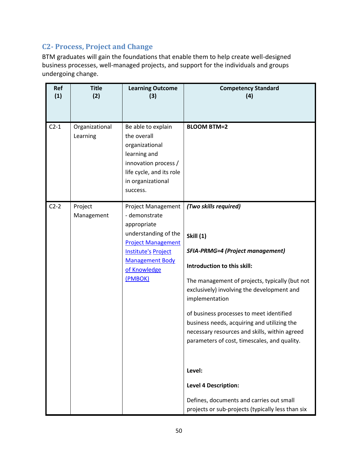# <span id="page-49-0"></span>**C2- Process, Project and Change**

BTM graduates will gain the foundations that enable them to help create well-designed business processes, well-managed projects, and support for the individuals and groups undergoing change.

| Ref<br>(1) | <b>Title</b><br>(2)        | <b>Learning Outcome</b><br>(3)                                                                                                                                                                    | <b>Competency Standard</b><br>(4)                                                                                                                                                                                                                                                                                                                                                                                                                                                                                                                                           |
|------------|----------------------------|---------------------------------------------------------------------------------------------------------------------------------------------------------------------------------------------------|-----------------------------------------------------------------------------------------------------------------------------------------------------------------------------------------------------------------------------------------------------------------------------------------------------------------------------------------------------------------------------------------------------------------------------------------------------------------------------------------------------------------------------------------------------------------------------|
| $C2-1$     | Organizational<br>Learning | Be able to explain<br>the overall<br>organizational<br>learning and<br>innovation process /<br>life cycle, and its role<br>in organizational<br>success.                                          | <b>BLOOM BTM=2</b>                                                                                                                                                                                                                                                                                                                                                                                                                                                                                                                                                          |
| $C2-2$     | Project<br>Management      | <b>Project Management</b><br>- demonstrate<br>appropriate<br>understanding of the<br><b>Project Management</b><br><b>Institute's Project</b><br><b>Management Body</b><br>of Knowledge<br>(PMBOK) | (Two skills required)<br><b>Skill (1)</b><br><b>SFIA-PRMG=4 (Project management)</b><br>Introduction to this skill:<br>The management of projects, typically (but not<br>exclusively) involving the development and<br>implementation<br>of business processes to meet identified<br>business needs, acquiring and utilizing the<br>necessary resources and skills, within agreed<br>parameters of cost, timescales, and quality.<br>Level:<br><b>Level 4 Description:</b><br>Defines, documents and carries out small<br>projects or sub-projects (typically less than six |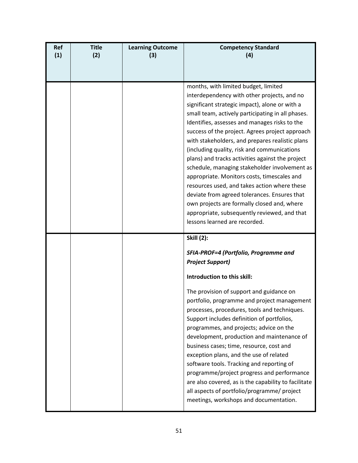| <b>Ref</b><br>(1) | <b>Title</b><br>(2) | <b>Learning Outcome</b><br>(3) | <b>Competency Standard</b><br>(4)                                                                                                                                                                                                                                                                                                                                                                                                                                                                                                                                                                                                                                                                                                                                                    |
|-------------------|---------------------|--------------------------------|--------------------------------------------------------------------------------------------------------------------------------------------------------------------------------------------------------------------------------------------------------------------------------------------------------------------------------------------------------------------------------------------------------------------------------------------------------------------------------------------------------------------------------------------------------------------------------------------------------------------------------------------------------------------------------------------------------------------------------------------------------------------------------------|
|                   |                     |                                | months, with limited budget, limited<br>interdependency with other projects, and no<br>significant strategic impact), alone or with a<br>small team, actively participating in all phases.<br>Identifies, assesses and manages risks to the<br>success of the project. Agrees project approach<br>with stakeholders, and prepares realistic plans<br>(including quality, risk and communications<br>plans) and tracks activities against the project<br>schedule, managing stakeholder involvement as<br>appropriate. Monitors costs, timescales and<br>resources used, and takes action where these<br>deviate from agreed tolerances. Ensures that<br>own projects are formally closed and, where<br>appropriate, subsequently reviewed, and that<br>lessons learned are recorded. |
|                   |                     |                                | <b>Skill (2):</b><br>SFIA-PROF=4 (Portfolio, Programme and<br><b>Project Support)</b><br>Introduction to this skill:<br>The provision of support and guidance on<br>portfolio, programme and project management<br>processes, procedures, tools and techniques.<br>Support includes definition of portfolios,<br>programmes, and projects; advice on the<br>development, production and maintenance of<br>business cases; time, resource, cost and<br>exception plans, and the use of related<br>software tools. Tracking and reporting of<br>programme/project progress and performance<br>are also covered, as is the capability to facilitate<br>all aspects of portfolio/programme/ project<br>meetings, workshops and documentation.                                            |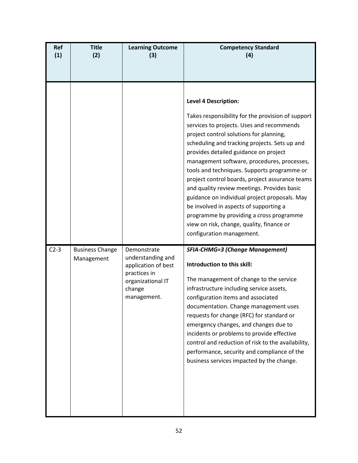| <b>Ref</b><br>(1) | <b>Title</b><br>(2)                  | <b>Learning Outcome</b><br>(3)                                                                                        | <b>Competency Standard</b><br>(4)                                                                                                                                                                                                                                                                                                                                                                                                                                                                                                                                                                                                                                                   |
|-------------------|--------------------------------------|-----------------------------------------------------------------------------------------------------------------------|-------------------------------------------------------------------------------------------------------------------------------------------------------------------------------------------------------------------------------------------------------------------------------------------------------------------------------------------------------------------------------------------------------------------------------------------------------------------------------------------------------------------------------------------------------------------------------------------------------------------------------------------------------------------------------------|
|                   |                                      |                                                                                                                       | <b>Level 4 Description:</b><br>Takes responsibility for the provision of support<br>services to projects. Uses and recommends<br>project control solutions for planning,<br>scheduling and tracking projects. Sets up and<br>provides detailed guidance on project<br>management software, procedures, processes,<br>tools and techniques. Supports programme or<br>project control boards, project assurance teams<br>and quality review meetings. Provides basic<br>guidance on individual project proposals. May<br>be involved in aspects of supporting a<br>programme by providing a cross programme<br>view on risk, change, quality, finance or<br>configuration management. |
| $C2-3$            | <b>Business Change</b><br>Management | Demonstrate<br>understanding and<br>application of best<br>practices in<br>organizational IT<br>change<br>management. | <b>SFIA-CHMG=3 (Change Management)</b><br>Introduction to this skill:<br>The management of change to the service<br>infrastructure including service assets,<br>configuration items and associated<br>documentation. Change management uses<br>requests for change (RFC) for standard or<br>emergency changes, and changes due to<br>incidents or problems to provide effective<br>control and reduction of risk to the availability,<br>performance, security and compliance of the<br>business services impacted by the change.                                                                                                                                                   |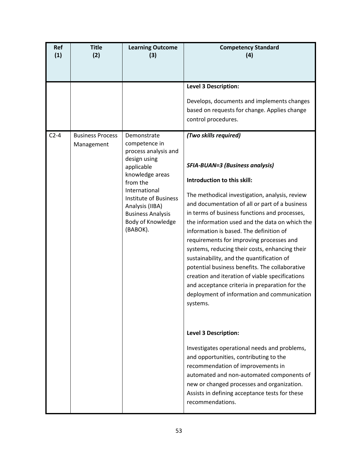| Ref<br>(1) | <b>Title</b><br>(2)                   | <b>Learning Outcome</b><br>(3)                                                                                                                                                                                                                     | <b>Competency Standard</b><br>(4)                                                                                                                                                                                                                                                                                                                                                                                                                                                                                                                                                                                                                                                                                                                                                            |
|------------|---------------------------------------|----------------------------------------------------------------------------------------------------------------------------------------------------------------------------------------------------------------------------------------------------|----------------------------------------------------------------------------------------------------------------------------------------------------------------------------------------------------------------------------------------------------------------------------------------------------------------------------------------------------------------------------------------------------------------------------------------------------------------------------------------------------------------------------------------------------------------------------------------------------------------------------------------------------------------------------------------------------------------------------------------------------------------------------------------------|
|            |                                       |                                                                                                                                                                                                                                                    |                                                                                                                                                                                                                                                                                                                                                                                                                                                                                                                                                                                                                                                                                                                                                                                              |
|            |                                       |                                                                                                                                                                                                                                                    | <b>Level 3 Description:</b><br>Develops, documents and implements changes<br>based on requests for change. Applies change<br>control procedures.                                                                                                                                                                                                                                                                                                                                                                                                                                                                                                                                                                                                                                             |
| $C2-4$     | <b>Business Process</b><br>Management | Demonstrate<br>competence in<br>process analysis and<br>design using<br>applicable<br>knowledge areas<br>from the<br>International<br><b>Institute of Business</b><br>Analysis (IIBA)<br><b>Business Analysis</b><br>Body of Knowledge<br>(BABOK). | (Two skills required)<br><b>SFIA-BUAN=3 (Business analysis)</b><br>Introduction to this skill:<br>The methodical investigation, analysis, review<br>and documentation of all or part of a business<br>in terms of business functions and processes,<br>the information used and the data on which the<br>information is based. The definition of<br>requirements for improving processes and<br>systems, reducing their costs, enhancing their<br>sustainability, and the quantification of<br>potential business benefits. The collaborative<br>creation and iteration of viable specifications<br>and acceptance criteria in preparation for the<br>deployment of information and communication<br>systems.<br><b>Level 3 Description:</b><br>Investigates operational needs and problems, |
|            |                                       |                                                                                                                                                                                                                                                    | and opportunities, contributing to the<br>recommendation of improvements in<br>automated and non-automated components of<br>new or changed processes and organization.<br>Assists in defining acceptance tests for these<br>recommendations.                                                                                                                                                                                                                                                                                                                                                                                                                                                                                                                                                 |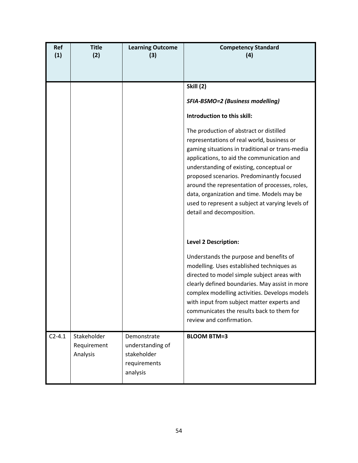| Ref<br>(1) | <b>Title</b><br>(2)                    | <b>Learning Outcome</b><br>(3)                                             | <b>Competency Standard</b><br>(4)                                                                                                                                                                                                                                                                                                                                                                                                                                                                                                                       |
|------------|----------------------------------------|----------------------------------------------------------------------------|---------------------------------------------------------------------------------------------------------------------------------------------------------------------------------------------------------------------------------------------------------------------------------------------------------------------------------------------------------------------------------------------------------------------------------------------------------------------------------------------------------------------------------------------------------|
|            |                                        |                                                                            | <b>Skill (2)</b><br>SFIA-BSMO=2 (Business modelling)<br>Introduction to this skill:<br>The production of abstract or distilled<br>representations of real world, business or<br>gaming situations in traditional or trans-media<br>applications, to aid the communication and<br>understanding of existing, conceptual or<br>proposed scenarios. Predominantly focused<br>around the representation of processes, roles,<br>data, organization and time. Models may be<br>used to represent a subject at varying levels of<br>detail and decomposition. |
|            |                                        |                                                                            | <b>Level 2 Description:</b><br>Understands the purpose and benefits of<br>modelling. Uses established techniques as<br>directed to model simple subject areas with<br>clearly defined boundaries. May assist in more<br>complex modelling activities. Develops models<br>with input from subject matter experts and<br>communicates the results back to them for<br>review and confirmation.                                                                                                                                                            |
| $C2 - 4.1$ | Stakeholder<br>Requirement<br>Analysis | Demonstrate<br>understanding of<br>stakeholder<br>requirements<br>analysis | <b>BLOOM BTM=3</b>                                                                                                                                                                                                                                                                                                                                                                                                                                                                                                                                      |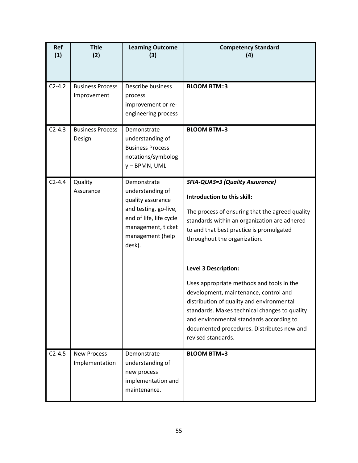| Ref<br>(1) | <b>Title</b><br>(2)                    | <b>Learning Outcome</b><br>(3)                                                                                                                               | <b>Competency Standard</b><br>(4)                                                                                                                                                                                                                                                                                                                                                                                                                                                                                                                                                       |
|------------|----------------------------------------|--------------------------------------------------------------------------------------------------------------------------------------------------------------|-----------------------------------------------------------------------------------------------------------------------------------------------------------------------------------------------------------------------------------------------------------------------------------------------------------------------------------------------------------------------------------------------------------------------------------------------------------------------------------------------------------------------------------------------------------------------------------------|
| $C2-4.2$   | <b>Business Process</b><br>Improvement | Describe business<br>process<br>improvement or re-<br>engineering process                                                                                    | <b>BLOOM BTM=3</b>                                                                                                                                                                                                                                                                                                                                                                                                                                                                                                                                                                      |
| $C2-4.3$   | <b>Business Process</b><br>Design      | Demonstrate<br>understanding of<br><b>Business Process</b><br>notations/symbolog<br>y - BPMN, UML                                                            | <b>BLOOM BTM=3</b>                                                                                                                                                                                                                                                                                                                                                                                                                                                                                                                                                                      |
| $C2 - 4.4$ | Quality<br>Assurance                   | Demonstrate<br>understanding of<br>quality assurance<br>and testing, go-live,<br>end of life, life cycle<br>management, ticket<br>management (help<br>desk). | <b>SFIA-QUAS=3 (Quality Assurance)</b><br>Introduction to this skill:<br>The process of ensuring that the agreed quality<br>standards within an organization are adhered<br>to and that best practice is promulgated<br>throughout the organization.<br><b>Level 3 Description:</b><br>Uses appropriate methods and tools in the<br>development, maintenance, control and<br>distribution of quality and environmental<br>standards. Makes technical changes to quality<br>and environmental standards according to<br>documented procedures. Distributes new and<br>revised standards. |
| $C2 - 4.5$ | <b>New Process</b><br>Implementation   | Demonstrate<br>understanding of<br>new process<br>implementation and<br>maintenance.                                                                         | <b>BLOOM BTM=3</b>                                                                                                                                                                                                                                                                                                                                                                                                                                                                                                                                                                      |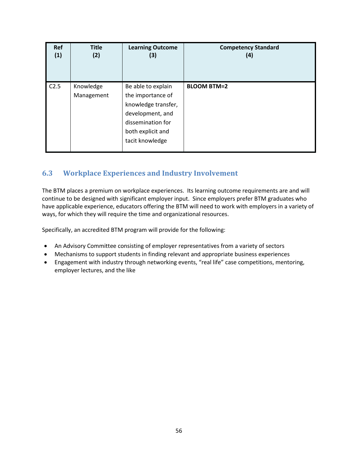| <b>Ref</b> | <b>Title</b>            | <b>Learning Outcome</b>                                                                                                                         | <b>Competency Standard</b> |
|------------|-------------------------|-------------------------------------------------------------------------------------------------------------------------------------------------|----------------------------|
| (1)        | (2)                     | (3)                                                                                                                                             | (4)                        |
| C2.5       | Knowledge<br>Management | Be able to explain<br>the importance of<br>knowledge transfer,<br>development, and<br>dissemination for<br>both explicit and<br>tacit knowledge | <b>BLOOM BTM=2</b>         |

# <span id="page-55-0"></span>**6.3 Workplace Experiences and Industry Involvement**

The BTM places a premium on workplace experiences. Its learning outcome requirements are and will continue to be designed with significant employer input. Since employers prefer BTM graduates who have applicable experience, educators offering the BTM will need to work with employers in a variety of ways, for which they will require the time and organizational resources.

Specifically, an accredited BTM program will provide for the following:

- An Advisory Committee consisting of employer representatives from a variety of sectors
- Mechanisms to support students in finding relevant and appropriate business experiences
- Engagement with industry through networking events, "real life" case competitions, mentoring, employer lectures, and the like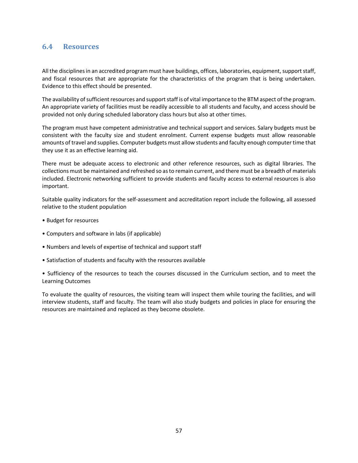### <span id="page-56-0"></span>**6.4 Resources**

All the disciplines in an accredited program must have buildings, offices, laboratories, equipment, support staff, and fiscal resources that are appropriate for the characteristics of the program that is being undertaken. Evidence to this effect should be presented.

The availability of sufficient resources and support staff is of vital importance to the BTM aspect of the program. An appropriate variety of facilities must be readily accessible to all students and faculty, and access should be provided not only during scheduled laboratory class hours but also at other times.

The program must have competent administrative and technical support and services. Salary budgets must be consistent with the faculty size and student enrolment. Current expense budgets must allow reasonable amounts of travel and supplies. Computer budgets must allow students and faculty enough computer time that they use it as an effective learning aid.

There must be adequate access to electronic and other reference resources, such as digital libraries. The collections must be maintained and refreshed so as to remain current, and there must be a breadth of materials included. Electronic networking sufficient to provide students and faculty access to external resources is also important.

Suitable quality indicators for the self-assessment and accreditation report include the following, all assessed relative to the student population

- Budget for resources
- Computers and software in labs (if applicable)
- Numbers and levels of expertise of technical and support staff
- Satisfaction of students and faculty with the resources available

• Sufficiency of the resources to teach the courses discussed in the Curriculum section, and to meet the Learning Outcomes

To evaluate the quality of resources, the visiting team will inspect them while touring the facilities, and will interview students, staff and faculty. The team will also study budgets and policies in place for ensuring the resources are maintained and replaced as they become obsolete.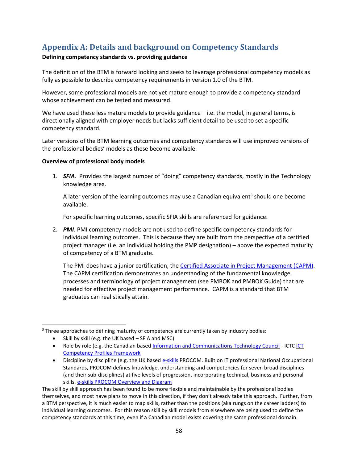# <span id="page-57-0"></span>**Appendix A: Details and background on Competency Standards**

### **Defining competency standards vs. providing guidance**

The definition of the BTM is forward looking and seeks to leverage professional competency models as fully as possible to describe competency requirements in version 1.0 of the BTM.

However, some professional models are not yet mature enough to provide a competency standard whose achievement can be tested and measured.

We have used these less mature models to provide guidance  $-$  i.e. the model, in general terms, is directionally aligned with employer needs but lacks sufficient detail to be used to set a specific competency standard.

Later versions of the BTM learning outcomes and competency standards will use improved versions of the professional bodies' models as these become available.

### **Overview of professional body models**

1. *SFIA*. Provides the largest number of "doing" competency standards, mostly in the Technology knowledge area.

A later version of the learning outcomes may use a Canadian equivalent<sup>3</sup> should one become available.

For specific learning outcomes, specific SFIA skills are referenced for guidance.

2. *PMI*. PMI competency models are not used to define specific competency standards for individual learning outcomes. This is because they are built from the perspective of a certified project manager (i.e. an individual holding the PMP designation) – above the expected maturity of competency of a BTM graduate.

The PMI does have a junior certification, the [Certified Associate in Project Management \(CAPM\).](http://www.pmi.org/CareerDevelopment/Pages/AboutCredentialsCAPM.aspx) The CAPM certification demonstrates an understanding of the fundamental knowledge, processes and terminology of project management (see PMBOK and PMBOK Guide) that are needed for effective project management performance. CAPM is a standard that BTM graduates can realistically attain.

The skill by skill approach has been found to be more flexible and maintainable by the professional bodies themselves, and most have plans to move in this direction, if they don't already take this approach. Further, from a BTM perspective, it is much easier to map skills, rather than the positions (aka rungs on the career ladders) to individual learning outcomes. For this reason skill by skill models from elsewhere are being used to define the competency standards at this time, even if a Canadian model exists covering the same professional domain.

<sup>&</sup>lt;sup>3</sup> Three approaches to defining maturity of competency are currently taken by industry bodies:

<sup>•</sup> Skill by skill (e.g. the UK based – SFIA and MSC)

<sup>•</sup> Role by role (e.g. the Canadian based [Information and Communications Technology Council](http://www.ictc-ctic.ca/) - ICTC ICT [Competency Profiles Framework](http://www.ictc-ctic.ca/en/Content.aspx?id=2178)

<sup>•</sup> Discipline by discipline (e.g. the UK based [e-skills](http://www.e-skills.com/) PROCOM. Built on IT professional National Occupational Standards, PROCOM defines knowledge, understanding and competencies for seven broad disciplines (and their sub-disciplines) at five levels of progression, incorporating technical, business and personal skills. [e-skills PROCOM Overview and Diagram](http://http/www.e-skills.com/e-skills-procom-consultation/Model-overview-and-diagram/2251)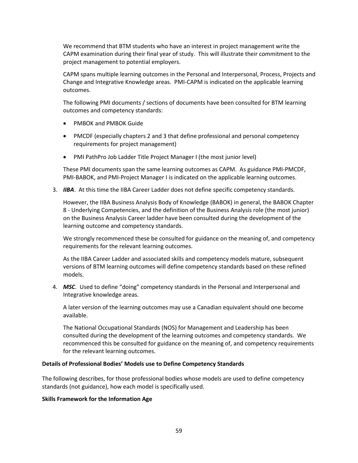We recommend that BTM students who have an interest in project management write the CAPM examination during their final year of study. This will illustrate their commitment to the project management to potential employers.

CAPM spans multiple learning outcomes in the Personal and Interpersonal, Process, Projects and Change and Integrative Knowledge areas. PMI-CAPM is indicated on the applicable learning outcomes.

The following PMI documents / sections of documents have been consulted for BTM learning outcomes and competency standards:

- PMBOK and PMBOK Guide
- PMCDF (especially chapters 2 and 3 that define professional and personal competency requirements for project management)
- PMI PathPro Job Ladder Title Project Manager I (the most junior level)

These PMI documents span the same learning outcomes as CAPM. As guidance PMI-PMCDF, PMI-BABOK, and PMI-Project Manager I is indicated on the applicable learning outcomes.

3. *IIBA*. At this time the IIBA Career Ladder does not define specific competency standards.

However, the IIBA Business Analysis Body of Knowledge (BABOK) in general, the BABOK Chapter 8 - Underlying Competencies, and the definition of the Business Analysis role (the most junior) on the Business Analysis Career ladder have been consulted during the development of the learning outcome and competency standards.

We strongly recommenced these be consulted for guidance on the meaning of, and competency requirements for the relevant learning outcomes.

As the IIBA Career Ladder and associated skills and competency models mature, subsequent versions of BTM learning outcomes will define competency standards based on these refined models.

4. *MSC*. Used to define "doing" competency standards in the Personal and Interpersonal and Integrative knowledge areas.

A later version of the learning outcomes may use a Canadian equivalent should one become available.

The National Occupational Standards (NOS) for Management and Leadership has been consulted during the development of the learning outcomes and competency standards. We recommenced this be consulted for guidance on the meaning of, and competency requirements for the relevant learning outcomes.

### **Details of Professional Bodies' Models use to Define Competency Standards**

The following describes, for those professional bodies whose models are used to define competency standards (not guidance), how each model is specifically used.

### **Skills Framework for the Information Age**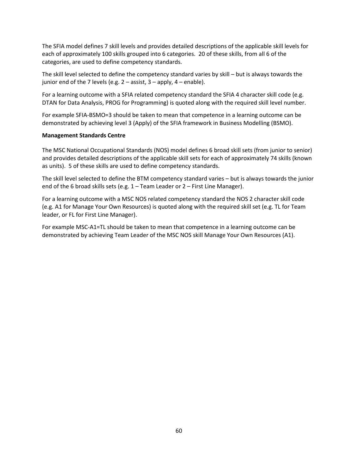The SFIA model defines 7 skill levels and provides detailed descriptions of the applicable skill levels for each of approximately 100 skills grouped into 6 categories. 20 of these skills, from all 6 of the categories, are used to define competency standards.

The skill level selected to define the competency standard varies by skill – but is always towards the junior end of the 7 levels (e.g.  $2 -$  assist,  $3 -$  apply,  $4 -$  enable).

For a learning outcome with a SFIA related competency standard the SFIA 4 character skill code (e.g. DTAN for Data Analysis, PROG for Programming) is quoted along with the required skill level number.

For example SFIA-BSMO=3 should be taken to mean that competence in a learning outcome can be demonstrated by achieving level 3 (Apply) of the SFIA framework in Business Modelling (BSMO).

### **Management Standards Centre**

The MSC National Occupational Standards (NOS) model defines 6 broad skill sets (from junior to senior) and provides detailed descriptions of the applicable skill sets for each of approximately 74 skills (known as units). 5 of these skills are used to define competency standards.

The skill level selected to define the BTM competency standard varies – but is always towards the junior end of the 6 broad skills sets (e.g. 1 – Team Leader or 2 – First Line Manager).

For a learning outcome with a MSC NOS related competency standard the NOS 2 character skill code (e.g. A1 for Manage Your Own Resources) is quoted along with the required skill set (e.g. TL for Team leader, or FL for First Line Manager).

For example MSC-A1=TL should be taken to mean that competence in a learning outcome can be demonstrated by achieving Team Leader of the MSC NOS skill Manage Your Own Resources (A1).